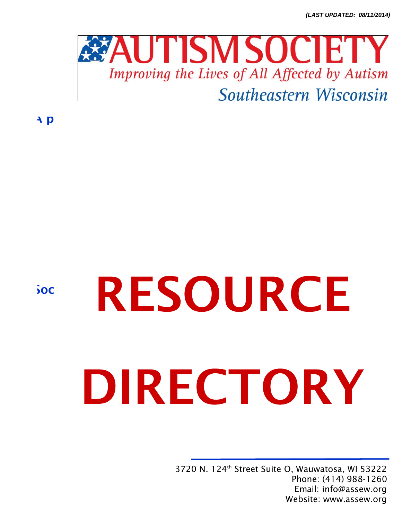*(LAST UPDATED: 08/11/2014)*



A p

 $50C$ 

# RESOURCE DIRECTORY

3720 N. 124th Street Suite O, Wauwatosa, WI 53222 Phone: (414) 988-1260 Email: info@assew.org Website: www.assew.org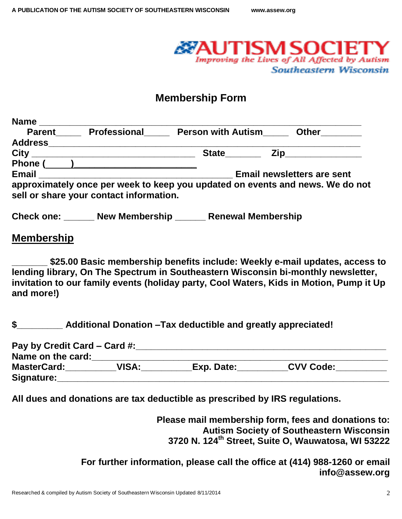

# **Membership Form**

| <b>Name</b>       |                                                                                                                       |                           |                           |                                   |
|-------------------|-----------------------------------------------------------------------------------------------------------------------|---------------------------|---------------------------|-----------------------------------|
| <b>Parent</b>     | Professional                                                                                                          | <b>Person with Autism</b> |                           | <b>Other</b>                      |
| <b>Address</b>    |                                                                                                                       |                           |                           |                                   |
|                   |                                                                                                                       | <b>State</b> State        |                           | Zip_______________                |
|                   | Phone ( <u>)</u>                                                                                                      |                           |                           |                                   |
| <b>Email</b>      | <u> 1990 - Johann Barbara, martin amerikan basal dan berasal dalam basal dalam basal dalam basal dalam basal dala</u> |                           |                           | <b>Email newsletters are sent</b> |
|                   | approximately once per week to keep you updated on events and news. We do not                                         |                           |                           |                                   |
|                   | sell or share your contact information.                                                                               |                           |                           |                                   |
| <b>Check one:</b> | <b>New Membership</b>                                                                                                 |                           | <b>Renewal Membership</b> |                                   |

### **Membership**

\$25.00 Basic membership benefits include: Weekly e-mail updates, access to **lending library, On The Spectrum in Southeastern Wisconsin bi-monthly newsletter, invitation to our family events (holiday party, Cool Waters, Kids in Motion, Pump it Up and more!)**

**\$\_\_\_\_\_\_\_\_\_ Additional Donation –Tax deductible and greatly appreciated!** 

| Pay by Credit Card – Card #: |       |            |                  |
|------------------------------|-------|------------|------------------|
| Name on the card:            |       |            |                  |
| <b>MasterCard:</b>           | VISA: | Exp. Date: | <b>CVV Code:</b> |
| Signature:                   |       |            |                  |

**All dues and donations are tax deductible as prescribed by IRS regulations.**

**Please mail membership form, fees and donations to: Autism Society of Southeastern Wisconsin 3720 N. 124th Street, Suite O, Wauwatosa, WI 53222**

**For further information, please call the office at (414) 988-1260 or email info@assew.org**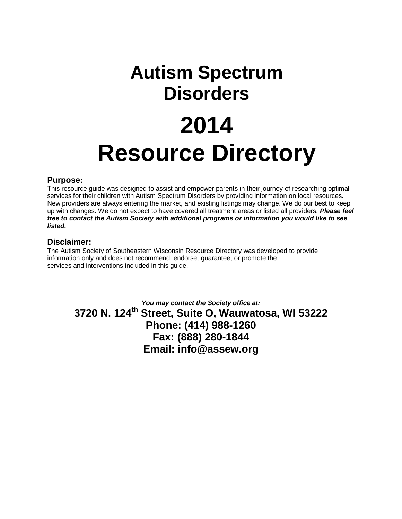# **Autism Spectrum Disorders 2014 Resource Directory**

### **Purpose:**

This resource guide was designed to assist and empower parents in their journey of researching optimal services for their children with Autism Spectrum Disorders by providing information on local resources. New providers are always entering the market, and existing listings may change. We do our best to keep up with changes. We do not expect to have covered all treatment areas or listed all providers. *Please feel free to contact the Autism Society with additional programs or information you would like to see listed.*

### **Disclaimer:**

The Autism Society of Southeastern Wisconsin Resource Directory was developed to provide information only and does not recommend, endorse, guarantee, or promote the services and interventions included in this guide.

> *You may contact the Society office at:*  **3720 N. 124th Street, Suite O, Wauwatosa, WI 53222 Phone: (414) 988-1260 Fax: (888) 280-1844 Email: info@assew.org**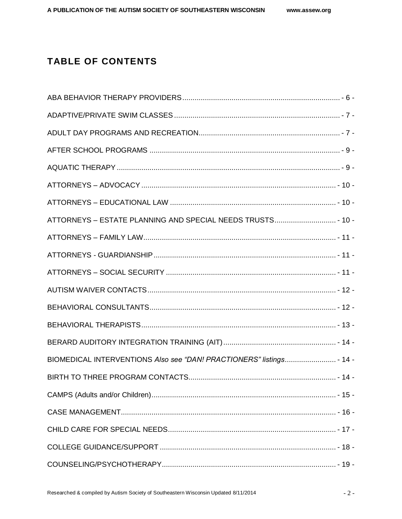## **TABLE OF CONTENTS**

| BIOMEDICAL INTERVENTIONS Also see "DAN! PRACTIONERS" listings - 14 - |  |
|----------------------------------------------------------------------|--|
|                                                                      |  |
|                                                                      |  |
|                                                                      |  |
|                                                                      |  |
|                                                                      |  |
|                                                                      |  |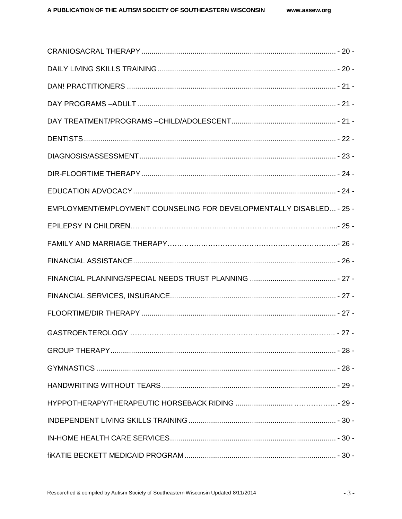| EMPLOYMENT/EMPLOYMENT COUNSELING FOR DEVELOPMENTALLY DISABLED - 25 - |  |
|----------------------------------------------------------------------|--|
|                                                                      |  |
|                                                                      |  |
|                                                                      |  |
|                                                                      |  |
|                                                                      |  |
|                                                                      |  |
|                                                                      |  |
|                                                                      |  |
|                                                                      |  |
|                                                                      |  |
|                                                                      |  |
|                                                                      |  |
|                                                                      |  |
|                                                                      |  |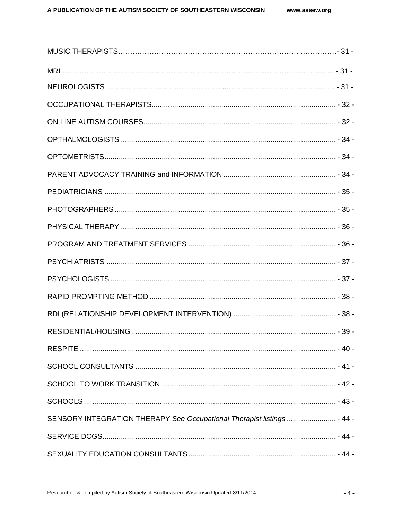| SENSORY INTEGRATION THERAPY See Occupational Therapist listings  - 44 - |  |
|-------------------------------------------------------------------------|--|
|                                                                         |  |
|                                                                         |  |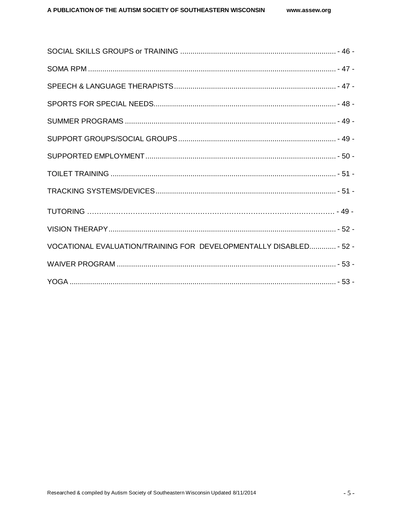| VOCATIONAL EVALUATION/TRAINING FOR DEVELOPMENTALLY DISABLED - 52 - |  |
|--------------------------------------------------------------------|--|
|                                                                    |  |
|                                                                    |  |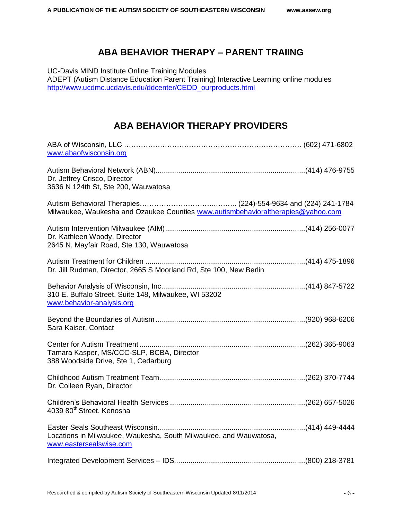### **ABA BEHAVIOR THERAPY – PARENT TRAIING**

<span id="page-7-0"></span>UC-Davis MIND Institute Online Training Modules ADEPT (Autism Distance Education Parent Training) Interactive Learning online modules [http://www.ucdmc.ucdavis.edu/ddcenter/CEDD\\_ourproducts.html](http://www.ucdmc.ucdavis.edu/ddcenter/CEDD_ourproducts.html)

### **ABA BEHAVIOR THERAPY PROVIDERS**

| www.abaofwisconsin.org                                                                       |  |
|----------------------------------------------------------------------------------------------|--|
| Dr. Jeffrey Crisco, Director<br>3636 N 124th St, Ste 200, Wauwatosa                          |  |
| Milwaukee, Waukesha and Ozaukee Counties www.autismbehavioraltherapies@yahoo.com             |  |
| Dr. Kathleen Woody, Director<br>2645 N. Mayfair Road, Ste 130, Wauwatosa                     |  |
| Dr. Jill Rudman, Director, 2665 S Moorland Rd, Ste 100, New Berlin                           |  |
| 310 E. Buffalo Street, Suite 148, Milwaukee, WI 53202<br>www.behavior-analysis.org           |  |
| Sara Kaiser, Contact                                                                         |  |
| Tamara Kasper, MS/CCC-SLP, BCBA, Director<br>388 Woodside Drive, Ste 1, Cedarburg            |  |
| Dr. Colleen Ryan, Director                                                                   |  |
| 4039 80 <sup>th</sup> Street, Kenosha                                                        |  |
| Locations in Milwaukee, Waukesha, South Milwaukee, and Wauwatosa,<br>www.eastersealswise.com |  |
|                                                                                              |  |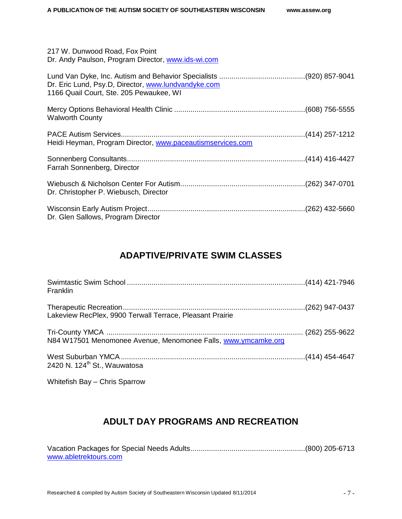| 217 W. Dunwood Road, Fox Point<br>Dr. Andy Paulson, Program Director, www.ids-wi.com           |  |
|------------------------------------------------------------------------------------------------|--|
| Dr. Eric Lund, Psy.D, Director, www.lundvandyke.com<br>1166 Quail Court, Ste. 205 Pewaukee, WI |  |
| <b>Walworth County</b>                                                                         |  |
| Heidi Heyman, Program Director, www.paceautismservices.com                                     |  |
| Farrah Sonnenberg, Director                                                                    |  |
| Dr. Christopher P. Wiebusch, Director                                                          |  |
| Dr. Glen Sallows, Program Director                                                             |  |

### **ADAPTIVE/PRIVATE SWIM CLASSES**

<span id="page-8-0"></span>

| Franklin                                                      |  |
|---------------------------------------------------------------|--|
| Lakeview RecPlex, 9900 Terwall Terrace, Pleasant Prairie      |  |
| N84 W17501 Menomonee Avenue, Menomonee Falls, www.ymcamke.org |  |
| 2420 N. 124 <sup>th</sup> St., Wauwatosa                      |  |

<span id="page-8-1"></span>Whitefish Bay – Chris Sparrow

### **ADULT DAY PROGRAMS AND RECREATION**

| www.abletrektours.com |  |
|-----------------------|--|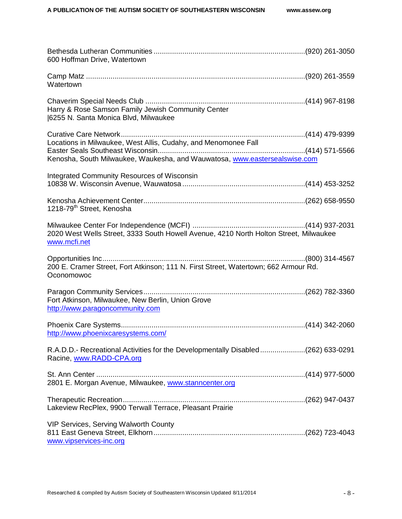<span id="page-9-0"></span>

| 600 Hoffman Drive, Watertown                                                                                                                 |  |
|----------------------------------------------------------------------------------------------------------------------------------------------|--|
| Watertown                                                                                                                                    |  |
| Harry & Rose Samson Family Jewish Community Center<br>6255 N. Santa Monica Blvd, Milwaukee                                                   |  |
| Locations in Milwaukee, West Allis, Cudahy, and Menomonee Fall<br>Kenosha, South Milwaukee, Waukesha, and Wauwatosa, www.eastersealswise.com |  |
| Integrated Community Resources of Wisconsin                                                                                                  |  |
| 1218-79 <sup>th</sup> Street, Kenosha                                                                                                        |  |
| 2020 West Wells Street, 3333 South Howell Avenue, 4210 North Holton Street, Milwaukee<br>www.mcfi.net                                        |  |
| 200 E. Cramer Street, Fort Atkinson; 111 N. First Street, Watertown; 662 Armour Rd.<br>Oconomowoc                                            |  |
| Fort Atkinson, Milwaukee, New Berlin, Union Grove<br>http://www.paragoncommunity.com                                                         |  |
| http://www.phoenixcaresystems.com/                                                                                                           |  |
| R.A.D.D.- Recreational Activities for the Developmentally Disabled(262) 633-0291<br>Racine, www.RADD-CPA.org                                 |  |
| 2801 E. Morgan Avenue, Milwaukee, www.stanncenter.org                                                                                        |  |
| Lakeview RecPlex, 9900 Terwall Terrace, Pleasant Prairie                                                                                     |  |
| VIP Services, Serving Walworth County<br>www.vipservices-inc.org                                                                             |  |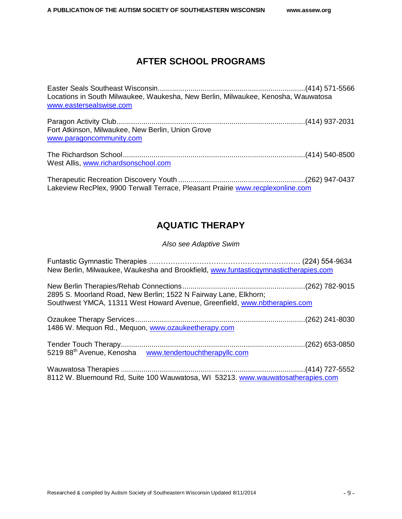### **AFTER SCHOOL PROGRAMS**

| Locations in South Milwaukee, Waukesha, New Berlin, Milwaukee, Kenosha, Wauwatosa<br>www.eastersealswise.com |  |
|--------------------------------------------------------------------------------------------------------------|--|
| Fort Atkinson, Milwaukee, New Berlin, Union Grove<br>www.paragoncommunity.com                                |  |
| West Allis, www.richardsonschool.com                                                                         |  |
| Lakeview RecPlex, 9900 Terwall Terrace, Pleasant Prairie www.recplexonline.com                               |  |

### **AQUATIC THERAPY**

*Also see Adaptive Swim*

<span id="page-10-1"></span><span id="page-10-0"></span>

| New Berlin, Milwaukee, Waukesha and Brookfield, www.funtasticgymnastictherapies.com                                                           |  |
|-----------------------------------------------------------------------------------------------------------------------------------------------|--|
| 2895 S. Moorland Road, New Berlin; 1522 N Fairway Lane, Elkhorn;<br>Southwest YMCA, 11311 West Howard Avenue, Greenfield, www.nbtherapies.com |  |
| 1486 W. Mequon Rd., Mequon, www.ozaukeetherapy.com                                                                                            |  |
|                                                                                                                                               |  |
| 8112 W. Bluemound Rd, Suite 100 Wauwatosa, WI 53213. www.wauwatosatherapies.com                                                               |  |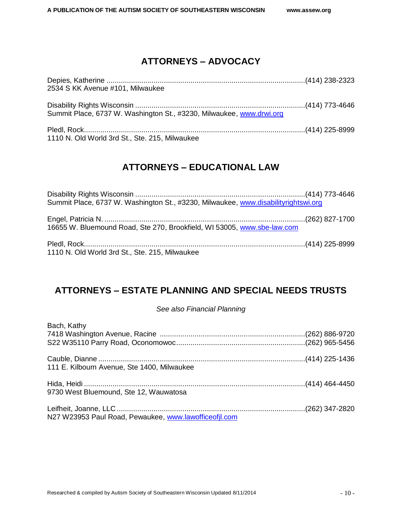### **ATTORNEYS – ADVOCACY**

| 2534 S KK Avenue #101, Milwaukee                                     |  |
|----------------------------------------------------------------------|--|
|                                                                      |  |
| Summit Place, 6737 W. Washington St., #3230, Milwaukee, www.drwi.org |  |
|                                                                      |  |
|                                                                      |  |
| 1110 N. Old World 3rd St., Ste. 215, Milwaukee                       |  |

### **ATTORNEYS – EDUCATIONAL LAW**

<span id="page-11-0"></span>

| Summit Place, 6737 W. Washington St., #3230, Milwaukee, www.disabilityrightswi.org |  |
|------------------------------------------------------------------------------------|--|
| 16655 W. Bluemound Road, Ste 270, Brookfield, WI 53005, www.sbe-law.com            |  |
| 1110 N. Old World 3rd St., Ste. 215, Milwaukee                                     |  |

### <span id="page-11-1"></span>**ATTORNEYS – ESTATE PLANNING AND SPECIAL NEEDS TRUSTS**

### *See also Financial Planning*

<span id="page-11-2"></span>

| Bach, Kathy                                           |  |
|-------------------------------------------------------|--|
|                                                       |  |
|                                                       |  |
|                                                       |  |
| 111 E. Kilbourn Avenue, Ste 1400, Milwaukee           |  |
|                                                       |  |
| 9730 West Bluemound, Ste 12, Wauwatosa                |  |
|                                                       |  |
| N27 W23953 Paul Road, Pewaukee, www.lawofficeofil.com |  |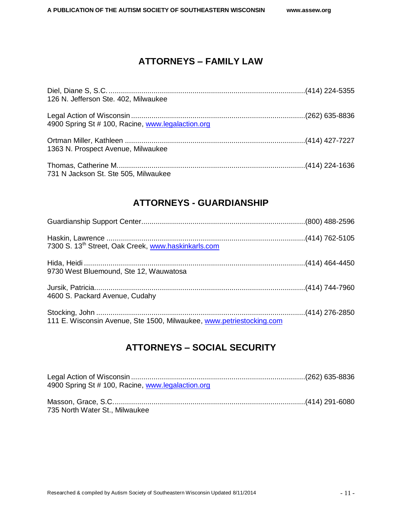### **ATTORNEYS – FAMILY LAW**

| 126 N. Jefferson Ste. 402, Milwaukee              |  |
|---------------------------------------------------|--|
| 4900 Spring St # 100, Racine, www.legalaction.org |  |
| 1363 N. Prospect Avenue, Milwaukee                |  |
| 731 N Jackson St. Ste 505, Milwaukee              |  |

### **ATTORNEYS - GUARDIANSHIP**

<span id="page-12-0"></span>

| 7300 S. 13 <sup>th</sup> Street, Oak Creek, www.haskinkarls.com      |  |
|----------------------------------------------------------------------|--|
| 9730 West Bluemound, Ste 12, Wauwatosa                               |  |
| 4600 S. Packard Avenue, Cudahy                                       |  |
| 111 E. Wisconsin Avenue, Ste 1500, Milwaukee, www.petriestocking.com |  |

### <span id="page-12-1"></span>**ATTORNEYS – SOCIAL SECURITY**

<span id="page-12-2"></span>

| 4900 Spring St # 100, Racine, www.legalaction.org |  |
|---------------------------------------------------|--|
|                                                   |  |
|                                                   |  |
| 735 North Water St., Milwaukee                    |  |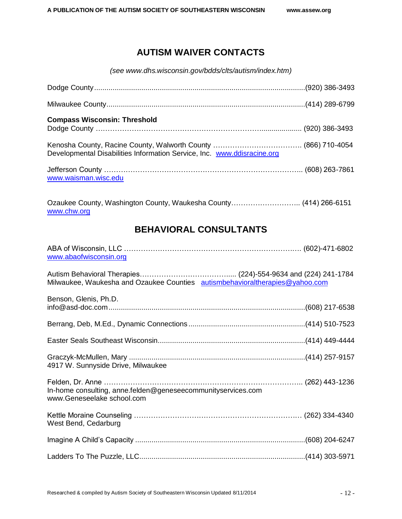### **AUTISM WAIVER CONTACTS**

*(see www.dhs.wisconsin.gov/bdds/clts/autism/index.htm)*

| <b>Compass Wisconsin: Threshold</b>                                     |  |
|-------------------------------------------------------------------------|--|
| Developmental Disabilities Information Service, Inc. www.ddisracine.org |  |
| www.waisman.wisc.edu                                                    |  |

<span id="page-13-0"></span>Ozaukee County, Washington County, Waukesha County……………………….. (414) 266-6151 [www.chw.org](http://www.chw.org/)

### **BEHAVIORAL CONSULTANTS**

| www.abaofwisconsin.org                                                                     |  |
|--------------------------------------------------------------------------------------------|--|
| Milwaukee, Waukesha and Ozaukee Counties autismbehavioraltherapies@yahoo.com               |  |
| Benson, Glenis, Ph.D.                                                                      |  |
|                                                                                            |  |
|                                                                                            |  |
| 4917 W. Sunnyside Drive, Milwaukee                                                         |  |
| In-home consulting, anne.felden@geneseecommunityservices.com<br>www.Geneseelake school.com |  |
| West Bend, Cedarburg                                                                       |  |
|                                                                                            |  |
|                                                                                            |  |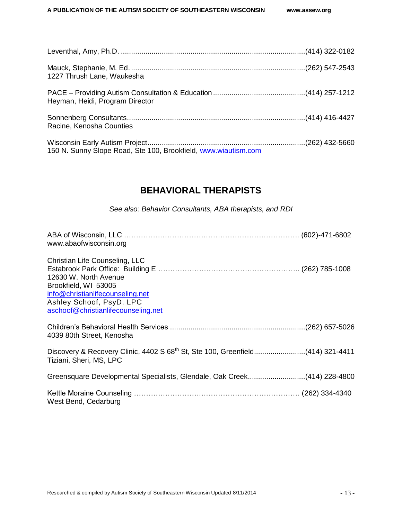| 1227 Thrush Lane, Waukesha                                     |  |
|----------------------------------------------------------------|--|
| Heyman, Heidi, Program Director                                |  |
| Racine, Kenosha Counties                                       |  |
| 150 N. Sunny Slope Road, Ste 100, Brookfield, www.wiautism.com |  |

### **BEHAVIORAL THERAPISTS**

*See also: Behavior Consultants, ABA therapists, and RDI*

<span id="page-14-1"></span><span id="page-14-0"></span>

| www.abaofwisconsin.org                                                                                                                                                                 |  |
|----------------------------------------------------------------------------------------------------------------------------------------------------------------------------------------|--|
| Christian Life Counseling, LLC<br>12630 W. North Avenue<br>Brookfield, WI 53005<br>info@christianlifecounseling.net<br>Ashley Schoof, PsyD. LPC<br>aschoof@christianlifecounseling.net |  |
| 4039 80th Street, Kenosha                                                                                                                                                              |  |
| Discovery & Recovery Clinic, 4402 S 68 <sup>th</sup> St, Ste 100, Greenfield(414) 321-4411<br>Tiziani, Sheri, MS, LPC                                                                  |  |
| Greensquare Developmental Specialists, Glendale, Oak Creek(414) 228-4800                                                                                                               |  |
| West Bend, Cedarburg                                                                                                                                                                   |  |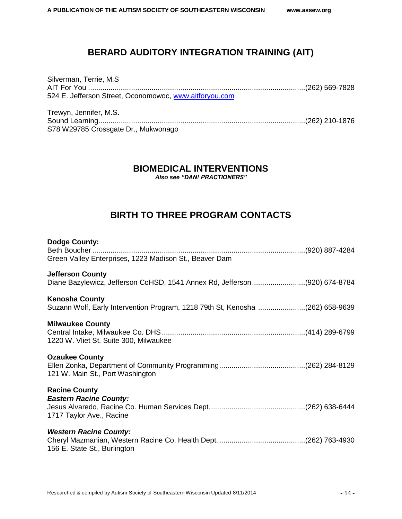### **BERARD AUDITORY INTEGRATION TRAINING (AIT)**

| Silverman, Terrie, M.S                                 |  |
|--------------------------------------------------------|--|
|                                                        |  |
| 524 E. Jefferson Street, Oconomowoc, www.aitforyou.com |  |
|                                                        |  |

<span id="page-15-0"></span>Trewyn, Jennifer, M.S. Sound Learning.....................................................................................................(262) 210-1876 S78 W29785 Crossgate Dr., Mukwonago

### **BIOMEDICAL INTERVENTIONS**

*Also see "DAN! PRACTIONERS"*

### **BIRTH TO THREE PROGRAM CONTACTS**

<span id="page-15-1"></span>

| <b>Dodge County:</b><br>Green Valley Enterprises, 1223 Madison St., Beaver Dam                         |  |
|--------------------------------------------------------------------------------------------------------|--|
| <b>Jefferson County</b><br>Diane Bazylewicz, Jefferson CoHSD, 1541 Annex Rd, Jefferson(920) 674-8784   |  |
| <b>Kenosha County</b><br>Suzann Wolf, Early Intervention Program, 1218 79th St, Kenosha (262) 658-9639 |  |
| <b>Milwaukee County</b><br>1220 W. Vliet St. Suite 300, Milwaukee                                      |  |
| <b>Ozaukee County</b><br>121 W. Main St., Port Washington                                              |  |
| <b>Racine County</b><br><b>Eastern Racine County:</b><br>1717 Taylor Ave., Racine                      |  |
| <b>Western Racine County:</b><br>156 E. State St., Burlington                                          |  |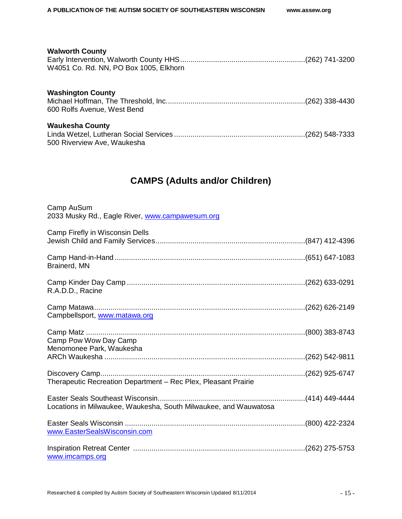### **Walworth County** Early Intervention, Walworth County HHS.............................................................(262) 741-3200 W4051 Co. Rd. NN, PO Box 1005, Elkhorn **Washington County** Michael Hoffman, The Threshold, Inc....................................................................(262) 338-4430 600 Rolfs Avenue, West Bend **Waukesha County** Linda Wetzel, Lutheran Social Services ................................................................(262) 548-7333

500 Riverview Ave, Waukesha

### **CAMPS (Adults and/or Children)**

<span id="page-16-0"></span>

| Camp AuSum<br>2033 Musky Rd., Eagle River, www.campawesum.org    |  |
|------------------------------------------------------------------|--|
| Camp Firefly in Wisconsin Dells                                  |  |
| Brainerd, MN                                                     |  |
| R.A.D.D., Racine                                                 |  |
| Campbellsport, www.matawa.org                                    |  |
| Camp Pow Wow Day Camp                                            |  |
| Menomonee Park, Waukesha                                         |  |
| Therapeutic Recreation Department - Rec Plex, Pleasant Prairie   |  |
| Locations in Milwaukee, Waukesha, South Milwaukee, and Wauwatosa |  |
| www.EasterSealsWisconsin.com                                     |  |
| www.imcamps.org                                                  |  |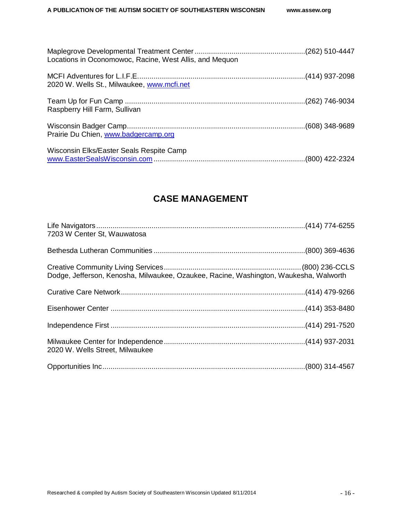| Locations in Oconomowoc, Racine, West Allis, and Mequon |  |
|---------------------------------------------------------|--|
| 2020 W. Wells St., Milwaukee, www.mcfi.net              |  |
| Raspberry Hill Farm, Sullivan                           |  |
| Prairie Du Chien, www.badgercamp.org                    |  |
| Wisconsin Elks/Easter Seals Respite Camp                |  |

### **CASE MANAGEMENT**

<span id="page-17-1"></span><span id="page-17-0"></span>

| 7203 W Center St, Wauwatosa                                                           |  |
|---------------------------------------------------------------------------------------|--|
|                                                                                       |  |
| Dodge, Jefferson, Kenosha, Milwaukee, Ozaukee, Racine, Washington, Waukesha, Walworth |  |
|                                                                                       |  |
|                                                                                       |  |
|                                                                                       |  |
| 2020 W. Wells Street, Milwaukee                                                       |  |
|                                                                                       |  |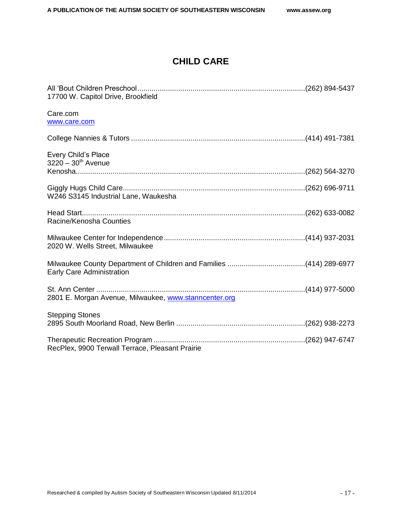### **CHILD CARE**

<span id="page-18-0"></span>

| 17700 W. Capitol Drive, Brookfield                    |  |
|-------------------------------------------------------|--|
| Care.com<br>www.care.com                              |  |
|                                                       |  |
| Every Child's Place<br>$3220 - 30^{th}$ Avenue        |  |
|                                                       |  |
| W246 S3145 Industrial Lane, Waukesha                  |  |
| Racine/Kenosha Counties                               |  |
| 2020 W. Wells Street, Milwaukee                       |  |
| <b>Early Care Administration</b>                      |  |
| 2801 E. Morgan Avenue, Milwaukee, www.stanncenter.org |  |
| <b>Stepping Stones</b>                                |  |
| RecPlex, 9900 Terwall Terrace, Pleasant Prairie       |  |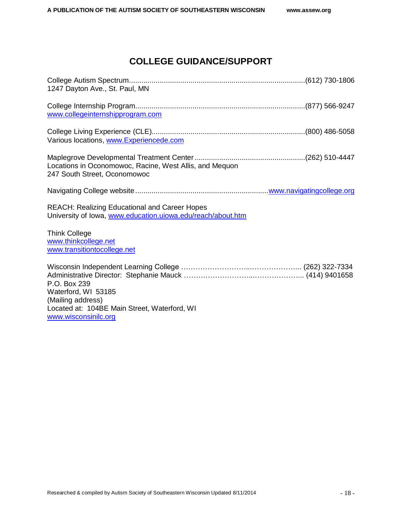### **COLLEGE GUIDANCE/SUPPORT**

<span id="page-19-0"></span>

| www.collegeinternshipprogram.com<br>Various locations, www.Experiencede.com<br>Locations in Oconomowoc, Racine, West Allis, and Mequon | 1247 Dayton Ave., St. Paul, MN |
|----------------------------------------------------------------------------------------------------------------------------------------|--------------------------------|
|                                                                                                                                        |                                |
|                                                                                                                                        |                                |
| 247 South Street, Oconomowoc                                                                                                           |                                |
|                                                                                                                                        |                                |
| <b>REACH: Realizing Educational and Career Hopes</b><br>University of Iowa, www.education.uiowa.edu/reach/about.htm                    |                                |
| <b>Think College</b><br>www.thinkcollege.net<br>www.transitiontocollege.net                                                            |                                |
| P.O. Box 239<br>Waterford, WI 53185<br>(Mailing address)<br>Located at: 104BE Main Street, Waterford, WI<br>www.wisconsinilc.org       |                                |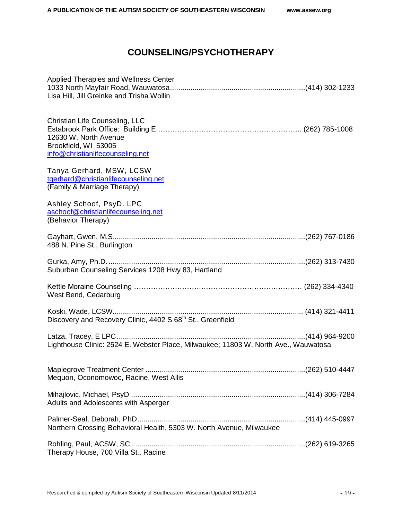### **COUNSELING/PSYCHOTHERAPY**

| Applied Therapies and Wellness Center<br>Lisa Hill, Jill Greinke and Trisha Wollin                                  |  |
|---------------------------------------------------------------------------------------------------------------------|--|
| Christian Life Counseling, LLC<br>12630 W. North Avenue<br>Brookfield, WI 53005<br>info@christianlifecounseling.net |  |
| Tanya Gerhard, MSW, LCSW<br>tgerhard@christianlifecounseling.net<br>(Family & Marriage Therapy)                     |  |
| Ashley Schoof, PsyD. LPC<br>aschoof@christianlifecounseling.net<br>(Behavior Therapy)                               |  |
| 488 N. Pine St., Burlington                                                                                         |  |
| Suburban Counseling Services 1208 Hwy 83, Hartland                                                                  |  |
| West Bend, Cedarburg                                                                                                |  |
| Discovery and Recovery Clinic, 4402 S 68 <sup>th</sup> St., Greenfield                                              |  |
| Lighthouse Clinic: 2524 E. Webster Place, Milwaukee; 11803 W. North Ave., Wauwatosa                                 |  |
| Mequon, Oconomowoc, Racine, West Allis                                                                              |  |
| Adults and Adolescents with Asperger                                                                                |  |
| Northern Crossing Behavioral Health, 5303 W. North Avenue, Milwaukee                                                |  |
| Therapy House, 700 Villa St., Racine                                                                                |  |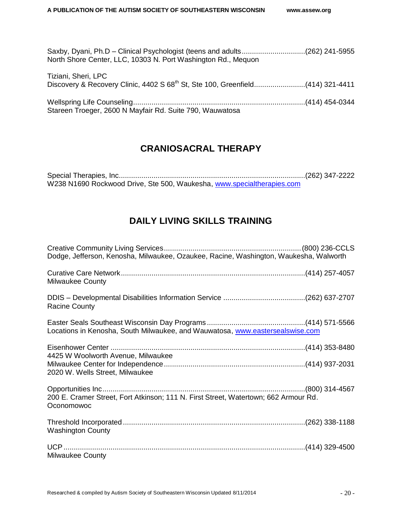| Saxby, Dyani, Ph.D – Clinical Psychologist (teens and adults(262) 241-5955<br>North Shore Center, LLC, 10303 N. Port Washington Rd., Mequon |  |
|---------------------------------------------------------------------------------------------------------------------------------------------|--|
| Tiziani, Sheri, LPC                                                                                                                         |  |
| Stareen Troeger, 2600 N Mayfair Rd. Suite 790, Wauwatosa                                                                                    |  |

### **CRANIOSACRAL THERAPY**

<span id="page-21-1"></span><span id="page-21-0"></span>Special Therapies, Inc...........................................................................................(262) 347-2222 W238 N1690 Rockwood Drive, Ste 500, Waukesha, [www.specialtherapies.com](file:///C:/Users/Julie/AppData/Roaming/AppData/Local/Microsoft/Windows/Temporary%20Internet%20Files/Desktop/www.specialtherapies.com)

### **DAILY LIVING SKILLS TRAINING**

| Dodge, Jefferson, Kenosha, Milwaukee, Ozaukee, Racine, Washington, Waukesha, Walworth             |  |
|---------------------------------------------------------------------------------------------------|--|
| <b>Milwaukee County</b>                                                                           |  |
| <b>Racine County</b>                                                                              |  |
| Locations in Kenosha, South Milwaukee, and Wauwatosa, www.eastersealswise.com                     |  |
| 4425 W Woolworth Avenue, Milwaukee                                                                |  |
| 2020 W. Wells Street, Milwaukee                                                                   |  |
| 200 E. Cramer Street, Fort Atkinson; 111 N. First Street, Watertown; 662 Armour Rd.<br>Oconomowoc |  |
| <b>Washington County</b>                                                                          |  |
| <b>Milwaukee County</b>                                                                           |  |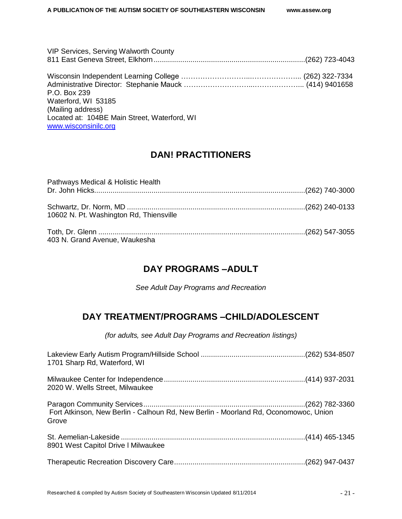| <b>VIP Services, Serving Walworth County</b>                         |  |
|----------------------------------------------------------------------|--|
|                                                                      |  |
| P.O. Box 239                                                         |  |
| Waterford, WI 53185<br>(Mailing address)                             |  |
| Located at: 104BE Main Street, Waterford, WI<br>www.wisconsinilc.org |  |

### **DAN! PRACTITIONERS**

<span id="page-22-0"></span>

| Pathways Medical & Holistic Health      |  |
|-----------------------------------------|--|
|                                         |  |
| 10602 N. Pt. Washington Rd, Thiensville |  |
| 403 N. Grand Avenue, Waukesha           |  |

### **DAY PROGRAMS –ADULT**

*See Adult Day Programs and Recreation*

### <span id="page-22-2"></span><span id="page-22-1"></span>**DAY TREATMENT/PROGRAMS –CHILD/ADOLESCENT**

*(for adults, see Adult Day Programs and Recreation listings)*

| 1701 Sharp Rd, Waterford, WI                                                                 |  |
|----------------------------------------------------------------------------------------------|--|
| 2020 W. Wells Street, Milwaukee                                                              |  |
| Fort Atkinson, New Berlin - Calhoun Rd, New Berlin - Moorland Rd, Oconomowoc, Union<br>Grove |  |
| 8901 West Capitol Drive I Milwaukee                                                          |  |
|                                                                                              |  |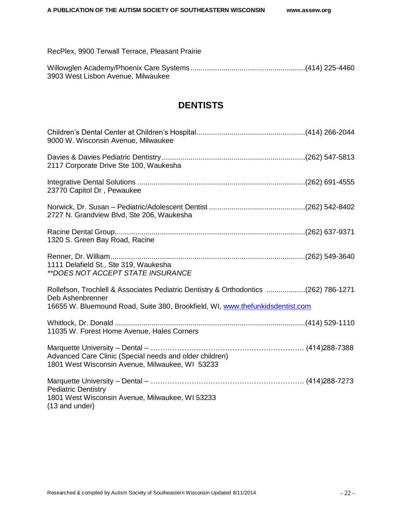RecPlex, 9900 Terwall Terrace, Pleasant Prairie

<span id="page-23-0"></span>

| 3903 West Lisbon Avenue, Milwaukee |  |
|------------------------------------|--|

### **DENTISTS**

<span id="page-23-1"></span>

| 9000 W. Wisconsin Avenue, Milwaukee                                                                                                                                                      |  |
|------------------------------------------------------------------------------------------------------------------------------------------------------------------------------------------|--|
| 2117 Corporate Drive Ste 100, Waukesha                                                                                                                                                   |  |
| 23770 Capitol Dr, Pewaukee                                                                                                                                                               |  |
| 2727 N. Grandview Blvd, Ste 206, Waukesha                                                                                                                                                |  |
| 1320 S. Green Bay Road, Racine                                                                                                                                                           |  |
| 1111 Delafield St., Ste 319, Waukesha<br>**DOES NOT ACCEPT STATE INSURANCE                                                                                                               |  |
| Rollefson, Trochlell & Associates Pediatric Dentistry & Orthodontics (262) 786-1271<br>Deb Ashenbrenner<br>16655 W. Bluemound Road, Suite 380, Brookfield, WI, www.thefunkidsdentist.com |  |
| 11035 W. Forest Home Avenue, Hales Corners                                                                                                                                               |  |
| Advanced Care Clinic (Special needs and older children)<br>1801 West Wisconsin Avenue, Milwaukee, WI 53233                                                                               |  |
| <b>Pediatric Dentistry</b><br>1801 West Wisconsin Avenue, Milwaukee, WI 53233<br>$(13$ and under)                                                                                        |  |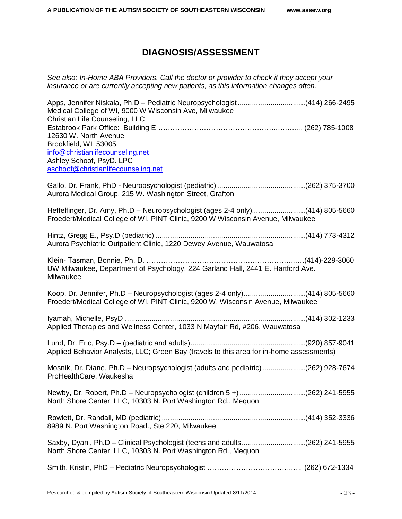### **DIAGNOSIS/ASSESSMENT**

*See also: In-Home ABA Providers. Call the doctor or provider to check if they accept your insurance or are currently accepting new patients, as this information changes often.*

| Apps, Jennifer Niskala, Ph.D - Pediatric Neuropsychologist(414) 266-2495<br>Medical College of WI, 9000 W Wisconsin Ave, Milwaukee<br>Christian Life Counseling, LLC |  |
|----------------------------------------------------------------------------------------------------------------------------------------------------------------------|--|
| 12630 W. North Avenue<br>Brookfield, WI 53005                                                                                                                        |  |
| info@christianlifecounseling.net                                                                                                                                     |  |
| Ashley Schoof, PsyD. LPC<br>aschoof@christianlifecounseling.net                                                                                                      |  |
|                                                                                                                                                                      |  |
| Aurora Medical Group, 215 W. Washington Street, Grafton                                                                                                              |  |
| Heffelfinger, Dr. Amy, Ph.D - Neuropsychologist (ages 2-4 only)(414) 805-5660<br>Froedert/Medical College of WI, PINT Clinic, 9200 W Wisconsin Avenue, Milwaukee     |  |
| Aurora Psychiatric Outpatient Clinic, 1220 Dewey Avenue, Wauwatosa                                                                                                   |  |
| UW Milwaukee, Department of Psychology, 224 Garland Hall, 2441 E. Hartford Ave.<br>Milwaukee                                                                         |  |
| Koop, Dr. Jennifer, Ph.D - Neuropsychologist (ages 2-4 only)(414) 805-5660<br>Froedert/Medical College of WI, PINT Clinic, 9200 W. Wisconsin Avenue, Milwaukee       |  |
| Applied Therapies and Wellness Center, 1033 N Mayfair Rd, #206, Wauwatosa                                                                                            |  |
| Applied Behavior Analysts, LLC; Green Bay (travels to this area for in-home assessments)                                                                             |  |
| Mosnik, Dr. Diane, Ph.D - Neuropsychologist (adults and pediatric)(262) 928-7674<br>ProHealthCare, Waukesha                                                          |  |
| Newby, Dr. Robert, Ph.D - Neuropsychologist (children 5 +) (262) 241-5955<br>North Shore Center, LLC, 10303 N. Port Washington Rd., Mequon                           |  |
| 8989 N. Port Washington Road., Ste 220, Milwaukee                                                                                                                    |  |
| Saxby, Dyani, Ph.D - Clinical Psychologist (teens and adults(262) 241-5955<br>North Shore Center, LLC, 10303 N. Port Washington Rd., Mequon                          |  |
|                                                                                                                                                                      |  |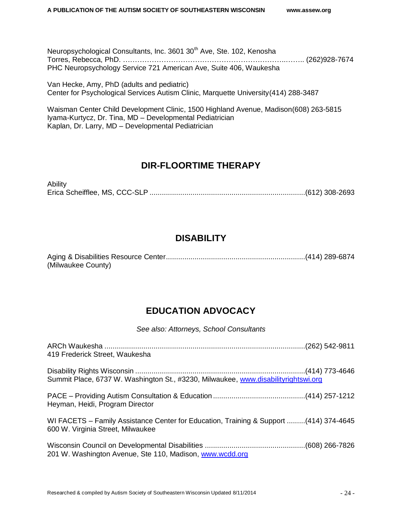Neuropsychological Consultants, Inc. 3601 30<sup>th</sup> Ave, Ste. 102, Kenosha Torres, Rebecca, PhD. …………………………………………………………..…….. (262)928-7674 PHC Neuropsychology Service 721 American Ave, Suite 406, Waukesha

Van Hecke, Amy, PhD (adults and pediatric) Center for Psychological Services Autism Clinic, Marquette University(414) 288-3487

Waisman Center Child Development Clinic, 1500 Highland Avenue, Madison(608) 263-5815 Iyama-Kurtycz, Dr. Tina, MD – Developmental Pediatrician Kaplan, Dr. Larry, MD – Developmental Pediatrician

### **DIR-FLOORTIME THERAPY**

<span id="page-25-0"></span>Ability Erica Scheifflee, MS, CCC-SLP ............................................................................(612) 308-2693

### **DISABILITY**

<span id="page-25-1"></span>Aging & Disabilities Resource Center....................................................................(414) 289-6874 (Milwaukee County)

### **EDUCATION ADVOCACY**

*See also: Attorneys, School Consultants*

| 419 Frederick Street, Waukesha                                                                                             |  |
|----------------------------------------------------------------------------------------------------------------------------|--|
| Summit Place, 6737 W. Washington St., #3230, Milwaukee, www.disabilityrightswi.org                                         |  |
| Heyman, Heidi, Program Director                                                                                            |  |
| WI FACETS - Family Assistance Center for Education, Training & Support (414) 374-4645<br>600 W. Virginia Street, Milwaukee |  |
| 201 W. Washington Avenue, Ste 110, Madison, www.wcdd.org                                                                   |  |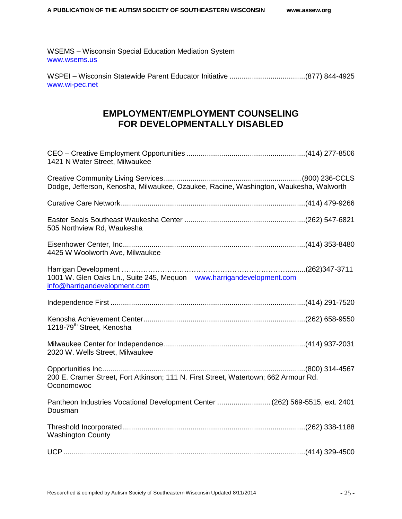WSEMS – Wisconsin Special Education Mediation System [www.wsems.us](file:///C:/Users/Julie/AppData/Roaming/AppData/Local/Microsoft/Windows/Temporary%20Internet%20Files/Desktop/www.wsems.us)

<span id="page-26-0"></span>WSPEI – Wisconsin Statewide Parent Educator Initiative .....................................(877) 844-4925 [www.wi-pec.net](file:///C:/Users/Julie/AppData/Roaming/AppData/Local/Microsoft/Windows/Temporary%20Internet%20Files/Desktop/www.wi-pec.net)

### **EMPLOYMENT/EMPLOYMENT COUNSELING FOR DEVELOPMENTALLY DISABLED**

| 1421 N Water Street, Milwaukee                                                                       |  |
|------------------------------------------------------------------------------------------------------|--|
| Dodge, Jefferson, Kenosha, Milwaukee, Ozaukee, Racine, Washington, Waukesha, Walworth                |  |
|                                                                                                      |  |
| 505 Northview Rd, Waukesha                                                                           |  |
| 4425 W Woolworth Ave, Milwaukee                                                                      |  |
| 1001 W. Glen Oaks Ln., Suite 245, Mequon www.harrigandevelopment.com<br>info@harrigandevelopment.com |  |
|                                                                                                      |  |
| 1218-79 <sup>th</sup> Street, Kenosha                                                                |  |
| 2020 W. Wells Street, Milwaukee                                                                      |  |
| 200 E. Cramer Street, Fort Atkinson; 111 N. First Street, Watertown; 662 Armour Rd.<br>Oconomowoc    |  |
| Pantheon Industries Vocational Development Center  (262) 569-5515, ext. 2401<br>Dousman              |  |
| <b>Washington County</b>                                                                             |  |
|                                                                                                      |  |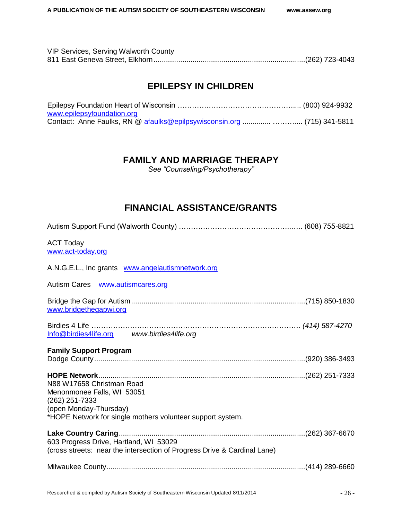<span id="page-27-0"></span>

| VIP Services, Serving Walworth County |  |
|---------------------------------------|--|
|                                       |  |

### **EPILEPSY IN CHILDREN**

| www.epilepsyfoundation.org                                               |  |
|--------------------------------------------------------------------------|--|
| Contact: Anne Faulks, RN @ afaulks@epilpsywisconsin.org   (715) 341-5811 |  |

### **FAMILY AND MARRIAGE THERAPY**

*See "Counseling/Psychotherapy"*

### **FINANCIAL ASSISTANCE/GRANTS**

<span id="page-27-1"></span>

| <b>ACT Today</b><br>www.act-today.org                                                                                                                             |  |
|-------------------------------------------------------------------------------------------------------------------------------------------------------------------|--|
| A.N.G.E.L., Inc grants www.angelautismnetwork.org                                                                                                                 |  |
| Autism Cares <b>www.autismcares.org</b>                                                                                                                           |  |
| www.bridgethegapwi.org                                                                                                                                            |  |
| Info@birdies4life.org www.birdies4life.org                                                                                                                        |  |
| <b>Family Support Program</b>                                                                                                                                     |  |
| N88 W17658 Christman Road<br>Menonmonee Falls, WI 53051<br>(262) 251-7333<br>(open Monday-Thursday)<br>*HOPE Network for single mothers volunteer support system. |  |
| 603 Progress Drive, Hartland, WI 53029<br>(cross streets: near the intersection of Progress Drive & Cardinal Lane)                                                |  |
|                                                                                                                                                                   |  |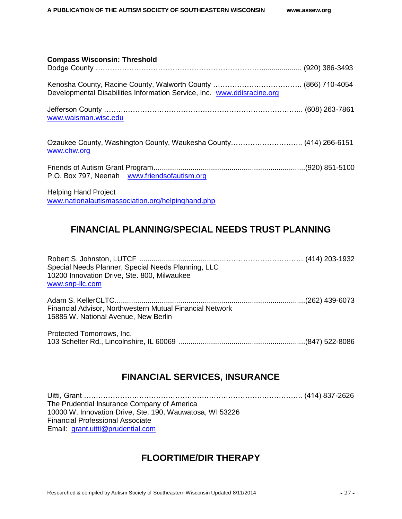| <b>Compass Wisconsin: Threshold</b>                                              |  |
|----------------------------------------------------------------------------------|--|
|                                                                                  |  |
| Developmental Disabilities Information Service, Inc. www.ddisracine.org          |  |
| www.waisman.wisc.edu                                                             |  |
| www.chw.org                                                                      |  |
| P.O. Box 797, Neenah www.friendsofautism.org                                     |  |
| <b>Helping Hand Project</b><br>www.nationalautismassociation.org/helpinghand.php |  |

### <span id="page-28-0"></span>**FINANCIAL PLANNING/SPECIAL NEEDS TRUST PLANNING**

Robert S. Johnston, LUTCF .........................................…………………………… (414) 203-1932 Special Needs Planner, Special Needs Planning, LLC 10200 Innovation Drive, Ste. 800, Milwaukee [www.snp-llc.com](http://www.snp-llc.com/)

Adam S. KellerCLTC.............................................................................................(262) 439-6073 Financial Advisor, Northwestern Mutual Financial Network 15885 W. National Avenue, New Berlin

Protected Tomorrows, Inc. 103 Schelter Rd., Lincolnshire, IL 60069 ..............................................................(847) 522-8086

### **FINANCIAL SERVICES, INSURANCE**

<span id="page-28-1"></span>Uitti, Grant ………………………………………………………………………………. (414) 837-2626 The Prudential Insurance Company of America 10000 W. Innovation Drive, Ste. 190, Wauwatosa, WI 53226 Financial Professional Associate Email: [grant.uitti@prudential.com](mailto:grant.uitti@prudential.com)

### **FLOORTIME/DIR THERAPY**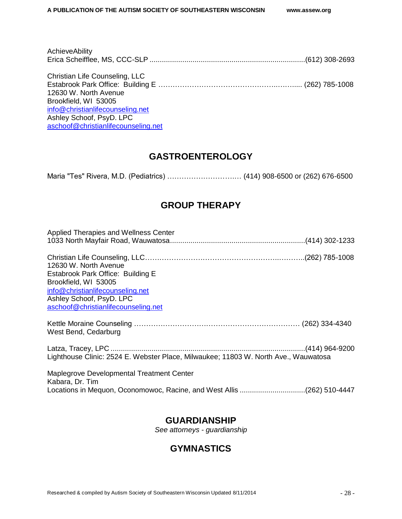| AchieveAbility                      |  |
|-------------------------------------|--|
|                                     |  |
| Christian Life Counseling, LLC      |  |
|                                     |  |
| 12630 W. North Avenue               |  |
| Brookfield, WI 53005                |  |
| info@christianlifecounseling.net    |  |
| Ashley Schoof, PsyD. LPC            |  |
| aschoof@christianlifecounseling.net |  |

### **GASTROENTEROLOGY**

<span id="page-29-0"></span>Maria "Tes" Rivera, M.D. (Pediatrics) ……………………….… (414) 908-6500 or (262) 676-6500

### **GROUP THERAPY**

### **GUARDIANSHIP**

*See attorneys - guardianship*

### <span id="page-29-1"></span>**GYMNASTICS**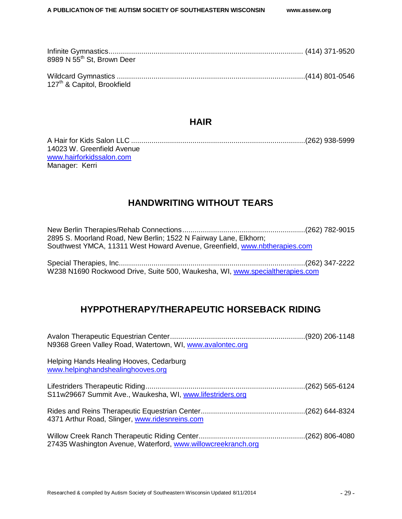| 8989 N 55 <sup>th</sup> St, Brown Deer  |  |
|-----------------------------------------|--|
| 127 <sup>th</sup> & Capitol, Brookfield |  |

### **HAIR**

| 14023 W. Greenfield Avenue |  |
|----------------------------|--|
| www.hairforkidssalon.com   |  |
| Manager: Kerri             |  |

### **HANDWRITING WITHOUT TEARS**

<span id="page-30-0"></span>New Berlin Therapies/Rehab Connections............................................................(262) 782-9015 2895 S. Moorland Road, New Berlin; 1522 N Fairway Lane, Elkhorn; Southwest YMCA, 11311 West Howard Avenue, Greenfield, [www.nbtherapies.com](file:///C:/Users/Julie/AppData/Roaming/AppData/Local/Microsoft/Windows/Temporary%20Internet%20Files/Desktop/www.nbtherapies.com)

<span id="page-30-1"></span>Special Therapies, Inc...........................................................................................(262) 347-2222 W238 N1690 Rockwood Drive, Suite 500, Waukesha, WI, [www.specialtherapies.com](file:///C:/Users/Julie/AppData/Roaming/AppData/Local/Microsoft/Windows/Temporary%20Internet%20Files/Desktop/www.specialtherapies.com)

### **HYPPOTHERAPY/THERAPEUTIC HORSEBACK RIDING**

| N9368 Green Valley Road, Watertown, WI, www.avalontec.org                    |  |
|------------------------------------------------------------------------------|--|
| Helping Hands Healing Hooves, Cedarburg<br>www.helpinghandshealinghooves.org |  |
| S11w29667 Summit Ave., Waukesha, WI, www.lifestriders.org                    |  |
| 4371 Arthur Road, Slinger, www.ridesnreins.com                               |  |
| 27435 Washington Avenue, Waterford, www.willowcreekranch.org                 |  |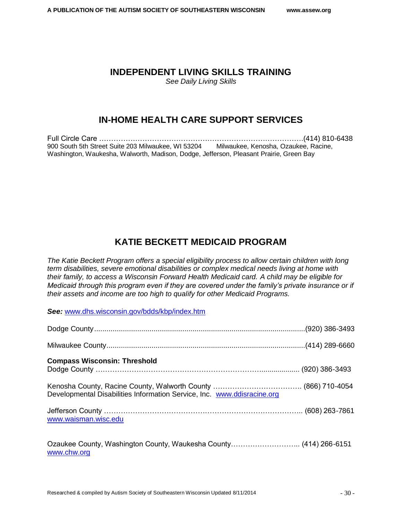### <span id="page-31-0"></span>**INDEPENDENT LIVING SKILLS TRAINING**

*See Daily Living Skills*

### **IN-HOME HEALTH CARE SUPPORT SERVICES**

Full Circle Care ………………………………………………………………………….(414) 810-6438 900 South 5th Street Suite 203 Milwaukee, WI 53204 Milwaukee, Kenosha, Ozaukee, Racine, Washington, Waukesha, Walworth, Madison, Dodge, Jefferson, Pleasant Prairie, Green Bay

### **KATIE BECKETT MEDICAID PROGRAM**

<span id="page-31-1"></span>*The Katie Beckett Program offers a special eligibility process to allow certain children with long term disabilities, severe emotional disabilities or complex medical needs living at home with their family, to access a Wisconsin Forward Health Medicaid card. A child may be eligible for Medicaid through this program even if they are covered under the family's private insurance or if their assets and income are too high to qualify for other Medicaid Programs.*

*See:* [www.dhs.wisconsin.gov/bdds/kbp/index.htm](file:///C:/Users/Julie/AppData/Roaming/AppData/Local/Microsoft/Windows/Temporary%20Internet%20Files/Desktop/www.dhs.wisconsin.gov/bdds/kbp/index.htm)

| <b>Compass Wisconsin: Threshold</b>                                              |  |
|----------------------------------------------------------------------------------|--|
| Developmental Disabilities Information Service, Inc. www.ddisracine.org          |  |
| www.waisman.wisc.edu                                                             |  |
| Ozaukee County, Washington County, Waukesha County (414) 266-6151<br>www.chw.org |  |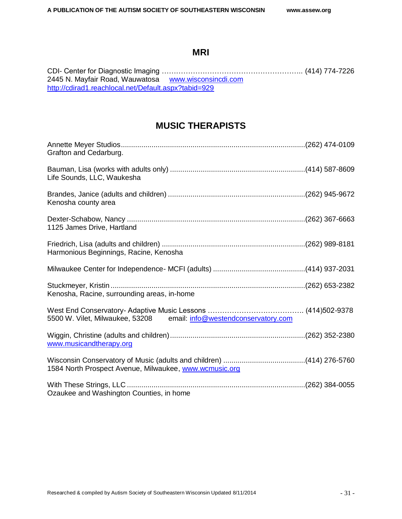### **MRI**

<span id="page-32-0"></span>CDI- Center for Diagnostic Imaging ………………………………………………….. (414) 774-7226 2445 N. Mayfair Road, Wauwatosa [www.wisconsincdi.com](http://www.wisconsincdi.com/) <http://cdirad1.reachlocal.net/Default.aspx?tabid=929>

### **MUSIC THERAPISTS**

| Grafton and Cedarburg.                                              |  |
|---------------------------------------------------------------------|--|
| Life Sounds, LLC, Waukesha                                          |  |
| Kenosha county area                                                 |  |
| 1125 James Drive, Hartland                                          |  |
| Harmonious Beginnings, Racine, Kenosha                              |  |
|                                                                     |  |
| Kenosha, Racine, surrounding areas, in-home                         |  |
| 5500 W. Vilet, Milwaukee, 53208 email: info@westendconservatory.com |  |
| www.musicandtherapy.org                                             |  |
| 1584 North Prospect Avenue, Milwaukee, www.wcmusic.org              |  |
| Ozaukee and Washington Counties, in home                            |  |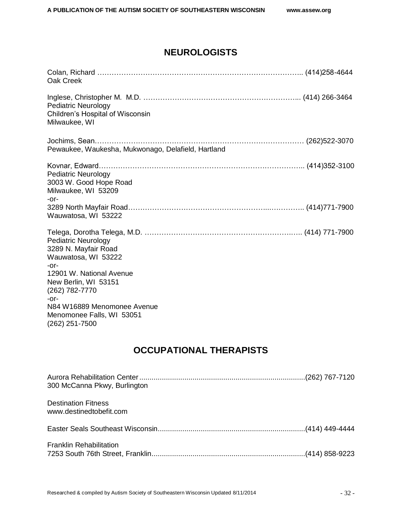### **NEUROLOGISTS**

| Oak Creek                                                                                                                                                                                                                                           |  |
|-----------------------------------------------------------------------------------------------------------------------------------------------------------------------------------------------------------------------------------------------------|--|
| <b>Pediatric Neurology</b><br>Children's Hospital of Wisconsin<br>Milwaukee, WI                                                                                                                                                                     |  |
| Pewaukee, Waukesha, Mukwonago, Delafield, Hartland                                                                                                                                                                                                  |  |
| <b>Pediatric Neurology</b><br>3003 W. Good Hope Road<br>Milwaukee, WI 53209<br>$-0r-$                                                                                                                                                               |  |
| Wauwatosa, WI 53222                                                                                                                                                                                                                                 |  |
| <b>Pediatric Neurology</b><br>3289 N. Mayfair Road<br>Wauwatosa, WI 53222<br>$-0r-$<br>12901 W. National Avenue<br>New Berlin, WI 53151<br>(262) 782-7770<br>$-0r-$<br>N84 W16889 Menomonee Avenue<br>Menomonee Falls, WI 53051<br>$(262)$ 251-7500 |  |

## **OCCUPATIONAL THERAPISTS**

<span id="page-33-0"></span>

| 300 McCanna Pkwy, Burlington                          |  |
|-------------------------------------------------------|--|
| <b>Destination Fitness</b><br>www.destinedtobefit.com |  |
|                                                       |  |
| <b>Franklin Rehabilitation</b>                        |  |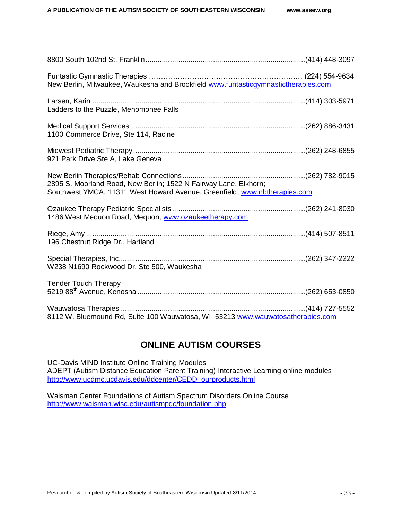| New Berlin, Milwaukee, Waukesha and Brookfield www.funtasticgymnastictherapies.com                                                            |  |
|-----------------------------------------------------------------------------------------------------------------------------------------------|--|
| Ladders to the Puzzle, Menomonee Falls                                                                                                        |  |
| 1100 Commerce Drive, Ste 114, Racine                                                                                                          |  |
| 921 Park Drive Ste A, Lake Geneva                                                                                                             |  |
| 2895 S. Moorland Road, New Berlin; 1522 N Fairway Lane, Elkhorn;<br>Southwest YMCA, 11311 West Howard Avenue, Greenfield, www.nbtherapies.com |  |
| 1486 West Mequon Road, Mequon, www.ozaukeetherapy.com                                                                                         |  |
| 196 Chestnut Ridge Dr., Hartland                                                                                                              |  |
| W238 N1690 Rockwood Dr. Ste 500, Waukesha                                                                                                     |  |
| <b>Tender Touch Therapy</b>                                                                                                                   |  |
|                                                                                                                                               |  |
| 8112 W. Bluemound Rd, Suite 100 Wauwatosa, WI 53213 www.wauwatosatherapies.com                                                                |  |

### **ONLINE AUTISM COURSES**

UC-Davis MIND Institute Online Training Modules ADEPT (Autism Distance Education Parent Training) Interactive Learning online modules [http://www.ucdmc.ucdavis.edu/ddcenter/CEDD\\_ourproducts.html](http://www.ucdmc.ucdavis.edu/ddcenter/CEDD_ourproducts.html)

<span id="page-34-0"></span>Waisman Center Foundations of Autism Spectrum Disorders Online Course <http://www.waisman.wisc.edu/autismpdc/foundation.php>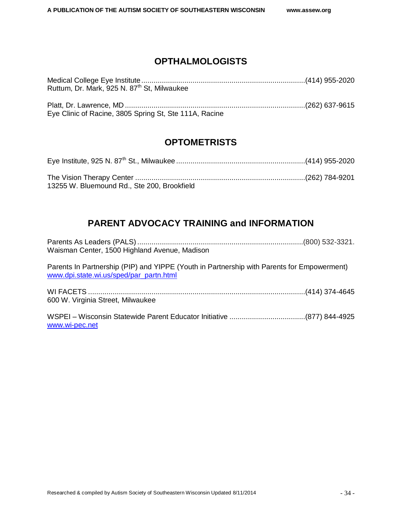### **OPTHALMOLOGISTS**

| Ruttum, Dr. Mark, 925 N. 87 <sup>th</sup> St, Milwaukee |  |
|---------------------------------------------------------|--|
|                                                         |  |
|                                                         |  |
| Eye Clinic of Racine, 3805 Spring St, Ste 111A, Racine  |  |

### **OPTOMETRISTS**

<span id="page-35-0"></span>

| 13255 W. Bluemound Rd., Ste 200, Brookfield |  |
|---------------------------------------------|--|

### **PARENT ADVOCACY TRAINING and INFORMATION**

<span id="page-35-1"></span>

| Waisman Center, 1500 Highland Avenue, Madison |  |
|-----------------------------------------------|--|

Parents In Partnership (PIP) and YIPPE (Youth in Partnership with Parents for Empowerment) [www.dpi.state.wi.us/sped/par\\_partn.html](http://www.dpi.state.wi.us/sped/par_partn.html)

| 600 W. Virginia Street, Milwaukee |  |
|-----------------------------------|--|

<span id="page-35-2"></span>WSPEI – Wisconsin Statewide Parent Educator Initiative .....................................(877) 844-4925 [www.wi-pec.net](file:///C:/Users/Julie/AppData/Roaming/AppData/Local/Microsoft/Windows/Temporary%20Internet%20Files/Desktop/www.wi-pec.net)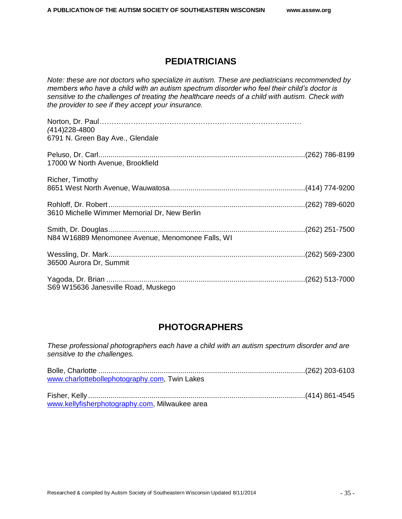### **PEDIATRICIANS**

*Note: these are not doctors who specialize in autism. These are pediatricians recommended by members who have a child with an autism spectrum disorder who feel their child's doctor is sensitive to the challenges of treating the healthcare needs of a child with autism. Check with the provider to see if they accept your insurance.*

| (414) 228-4800<br>6791 N. Green Bay Ave., Glendale |  |
|----------------------------------------------------|--|
| 17000 W North Avenue, Brookfield                   |  |
| Richer, Timothy                                    |  |
| 3610 Michelle Wimmer Memorial Dr, New Berlin       |  |
| N84 W16889 Menomonee Avenue, Menomonee Falls, WI   |  |
| 36500 Aurora Dr, Summit                            |  |
| S69 W15636 Janesville Road, Muskego                |  |

### **PHOTOGRAPHERS**

<span id="page-36-0"></span>*These professional photographers each have a child with an autism spectrum disorder and are sensitive to the challenges.*

<span id="page-36-1"></span>

| www.charlottebollephotography.com, Twin Lakes  |  |
|------------------------------------------------|--|
|                                                |  |
|                                                |  |
| www.kellyfisherphotography.com, Milwaukee area |  |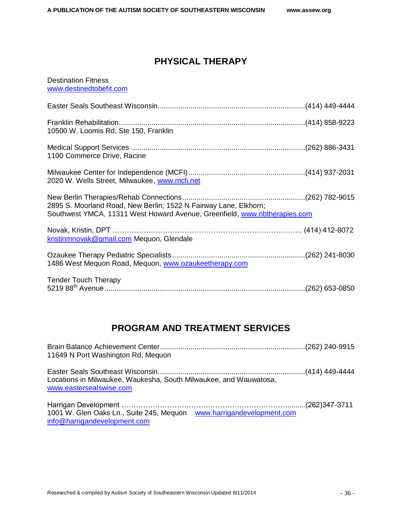### **PHYSICAL THERAPY**

### Destination Fitness [www.destinedtobefit.com](http://www.destinedtobefit.com/)

| 10500 W. Loomis Rd, Ste 150, Franklin                                                                                                         |  |
|-----------------------------------------------------------------------------------------------------------------------------------------------|--|
| 1100 Commerce Drive, Racine                                                                                                                   |  |
| 2020 W. Wells Street, Milwaukee, www.mcfi.net                                                                                                 |  |
| 2895 S. Moorland Road, New Berlin; 1522 N Fairway Lane, Elkhorn;<br>Southwest YMCA, 11311 West Howard Avenue, Greenfield, www.nbtherapies.com |  |
| kristinmnovak@gmail.com Mequon, Glendale                                                                                                      |  |
| 1486 West Mequon Road, Mequon, www.ozaukeetherapy.com                                                                                         |  |
| <b>Tender Touch Therapy</b>                                                                                                                   |  |

### **PROGRAM AND TREATMENT SERVICES**

<span id="page-37-1"></span><span id="page-37-0"></span>

| 11649 N Port Washington Rd, Mequon                                                                   |  |
|------------------------------------------------------------------------------------------------------|--|
| Locations in Milwaukee, Waukesha, South Milwaukee, and Wauwatosa,<br>www.eastersealswise.com         |  |
| 1001 W. Glen Oaks Ln., Suite 245, Mequon www.harrigandevelopment.com<br>info@harrigandevelopment.com |  |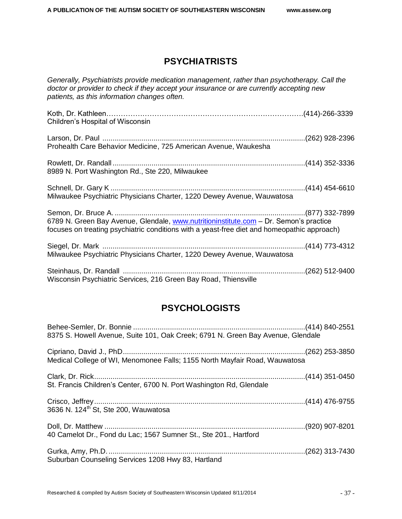### **PSYCHIATRISTS**

*Generally, Psychiatrists provide medication management, rather than psychotherapy. Call the doctor or provider to check if they accept your insurance or are currently accepting new patients, as this information changes often.*

| Children's Hospital of Wisconsin                                                                                                                                                     |  |
|--------------------------------------------------------------------------------------------------------------------------------------------------------------------------------------|--|
| Prohealth Care Behavior Medicine, 725 American Avenue, Waukesha                                                                                                                      |  |
| 8989 N. Port Washington Rd., Ste 220, Milwaukee                                                                                                                                      |  |
| Milwaukee Psychiatric Physicians Charter, 1220 Dewey Avenue, Wauwatosa                                                                                                               |  |
| 6789 N. Green Bay Avenue, Glendale, www.nutritioninstitute.com - Dr. Semon's practice<br>focuses on treating psychiatric conditions with a yeast-free diet and homeopathic approach) |  |
| Milwaukee Psychiatric Physicians Charter, 1220 Dewey Avenue, Wauwatosa                                                                                                               |  |
| Wisconsin Psychiatric Services, 216 Green Bay Road, Thiensville                                                                                                                      |  |

### **PSYCHOLOGISTS**

<span id="page-38-0"></span>

| 8375 S. Howell Avenue, Suite 101, Oak Creek; 6791 N. Green Bay Avenue, Glendale |  |
|---------------------------------------------------------------------------------|--|
| Medical College of WI, Menomonee Falls; 1155 North Mayfair Road, Wauwatosa      |  |
| St. Francis Children's Center, 6700 N. Port Washington Rd, Glendale             |  |
| 3636 N. 124 <sup>th</sup> St, Ste 200, Wauwatosa                                |  |
| 40 Camelot Dr., Fond du Lac; 1567 Sumner St., Ste 201., Hartford                |  |
| Suburban Counseling Services 1208 Hwy 83, Hartland                              |  |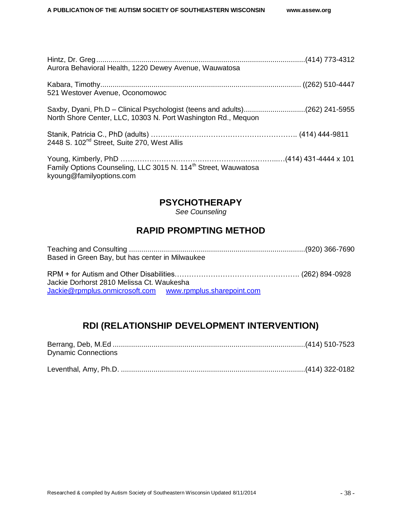| Aurora Behavioral Health, 1220 Dewey Avenue, Wauwatosa                                                                                       |  |
|----------------------------------------------------------------------------------------------------------------------------------------------|--|
| 521 Westover Avenue, Oconomowoc                                                                                                              |  |
| Saxby, Dyani, Ph.D – Clinical Psychologist (teens and adults)(262) 241-5955<br>North Shore Center, LLC, 10303 N. Port Washington Rd., Mequon |  |
| 2448 S. 102 <sup>nd</sup> Street, Suite 270, West Allis                                                                                      |  |
| Family Options Counseling, LLC 3015 N. 114 <sup>th</sup> Street, Wauwatosa<br>kyoung@familyoptions.com                                       |  |

### **PSYCHOTHERAPY**

<span id="page-39-0"></span>*See Counseling*

### **RAPID PROMPTING METHOD**

| Based in Green Bay, but has center in Milwaukee |  |
|-------------------------------------------------|--|

RPM + for Autism and Other Disabilities……………………………………………. (262) 894-0928 Jackie Dorhorst 2810 Melissa Ct. Waukesha [Jackie@rpmplus.onmicrosoft.com](mailto:Jackie@rpmplus.onmicrosoft.com) [www.rpmplus.sharepoint.com](http://www.rpmplus.sharepoint.com/)

### **RDI (RELATIONSHIP DEVELOPMENT INTERVENTION)**

<span id="page-39-2"></span><span id="page-39-1"></span>

| <b>Dynamic Connections</b> |  |
|----------------------------|--|
|                            |  |
|                            |  |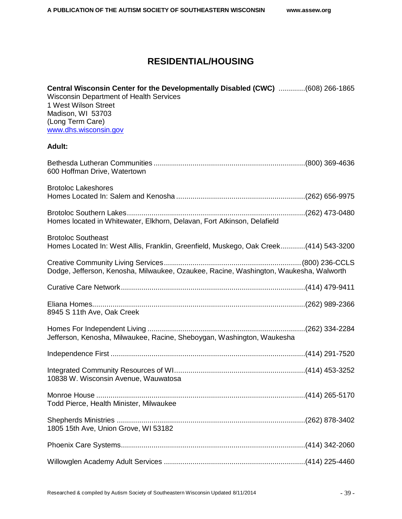### **RESIDENTIAL/HOUSING**

| Central Wisconsin Center for the Developmentally Disabled (CWC) (608) 266-1865<br><b>Wisconsin Department of Health Services</b><br>1 West Wilson Street<br>Madison, WI 53703<br>(Long Term Care)<br>www.dhs.wisconsin.gov |  |
|----------------------------------------------------------------------------------------------------------------------------------------------------------------------------------------------------------------------------|--|
| <b>Adult:</b>                                                                                                                                                                                                              |  |
| 600 Hoffman Drive, Watertown                                                                                                                                                                                               |  |
| <b>Brotoloc Lakeshores</b>                                                                                                                                                                                                 |  |
| Homes located in Whitewater, Elkhorn, Delavan, Fort Atkinson, Delafield                                                                                                                                                    |  |
| <b>Brotoloc Southeast</b><br>Homes Located In: West Allis, Franklin, Greenfield, Muskego, Oak Creek(414) 543-3200                                                                                                          |  |
| Dodge, Jefferson, Kenosha, Milwaukee, Ozaukee, Racine, Washington, Waukesha, Walworth                                                                                                                                      |  |
|                                                                                                                                                                                                                            |  |
| 8945 S 11th Ave, Oak Creek                                                                                                                                                                                                 |  |
|                                                                                                                                                                                                                            |  |
| Jefferson, Kenosha, Milwaukee, Racine, Sheboygan, Washington, Waukesha                                                                                                                                                     |  |
|                                                                                                                                                                                                                            |  |
| 10838 W. Wisconsin Avenue, Wauwatosa                                                                                                                                                                                       |  |
| Todd Pierce, Health Minister, Milwaukee                                                                                                                                                                                    |  |
| 1805 15th Ave, Union Grove, WI 53182                                                                                                                                                                                       |  |
|                                                                                                                                                                                                                            |  |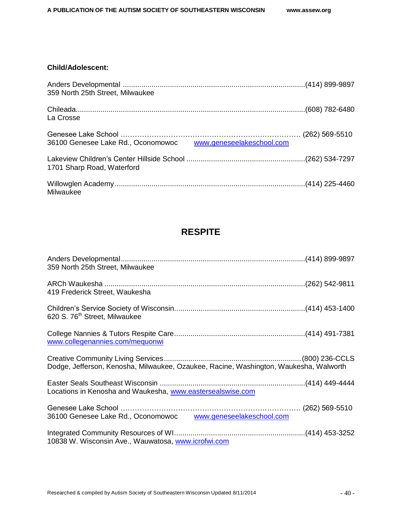### **Child/Adolescent:**

| 359 North 25th Street, Milwaukee                             |  |
|--------------------------------------------------------------|--|
| La Crosse                                                    |  |
| 36100 Genesee Lake Rd., Oconomowoc www.geneseelakeschool.com |  |
| 1701 Sharp Road, Waterford                                   |  |
| Milwaukee                                                    |  |

### **RESPITE**

<span id="page-41-0"></span>

| 359 North 25th Street, Milwaukee                                                      |  |
|---------------------------------------------------------------------------------------|--|
| 419 Frederick Street, Waukesha                                                        |  |
| 620 S. 76 <sup>th</sup> Street, Milwaukee                                             |  |
| www.collegenannies.com/mequonwi                                                       |  |
| Dodge, Jefferson, Kenosha, Milwaukee, Ozaukee, Racine, Washington, Waukesha, Walworth |  |
| Locations in Kenosha and Waukesha, www.eastersealswise.com                            |  |
| 36100 Genesee Lake Rd., Oconomowoc www.geneseelakeschool.com                          |  |
| 10838 W. Wisconsin Ave., Wauwatosa, www.icrofwi.com                                   |  |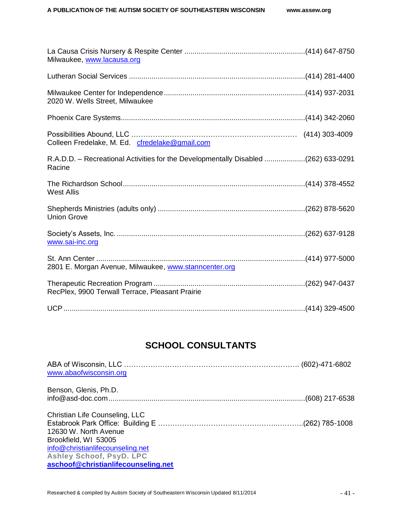| Milwaukee, www.lacausa.org                                                                   |  |
|----------------------------------------------------------------------------------------------|--|
|                                                                                              |  |
| 2020 W. Wells Street, Milwaukee                                                              |  |
|                                                                                              |  |
| Colleen Fredelake, M. Ed. cfredelake@gmail.com                                               |  |
| R.A.D.D. - Recreational Activities for the Developmentally Disabled (262) 633-0291<br>Racine |  |
| <b>West Allis</b>                                                                            |  |
| <b>Union Grove</b>                                                                           |  |
| www.sai-inc.org                                                                              |  |
| 2801 E. Morgan Avenue, Milwaukee, www.stanncenter.org                                        |  |
| RecPlex, 9900 Terwall Terrace, Pleasant Prairie                                              |  |
|                                                                                              |  |

### **SCHOOL CONSULTANTS**

<span id="page-42-0"></span>

| www.abaofwisconsin.org                                  |  |
|---------------------------------------------------------|--|
| Benson, Glenis, Ph.D.                                   |  |
| Christian Life Counseling, LLC<br>12630 W. North Avenue |  |
| Brookfield, WI 53005                                    |  |
| info@christianlifecounseling.net                        |  |
| Ashley Schoof, PsyD. LPC                                |  |
| aschoof@christianlifecounseling.net                     |  |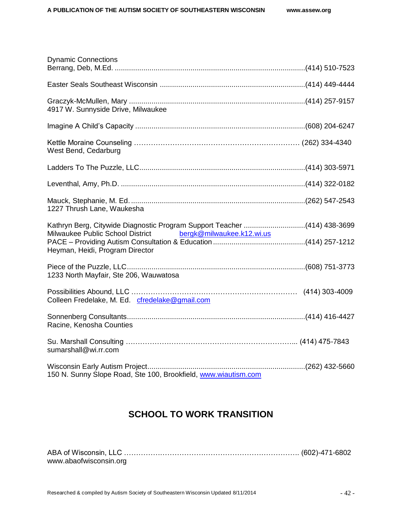| <b>Dynamic Connections</b>                                                                                                                                                |  |
|---------------------------------------------------------------------------------------------------------------------------------------------------------------------------|--|
|                                                                                                                                                                           |  |
| 4917 W. Sunnyside Drive, Milwaukee                                                                                                                                        |  |
|                                                                                                                                                                           |  |
| West Bend, Cedarburg                                                                                                                                                      |  |
|                                                                                                                                                                           |  |
|                                                                                                                                                                           |  |
| 1227 Thrush Lane, Waukesha                                                                                                                                                |  |
| Kathryn Berg, Citywide Diagnostic Program Support Teacher (414) 438-3699<br>Milwaukee Public School District bergk@milwaukee.k12.wi.us<br>Heyman, Heidi, Program Director |  |
| 1233 North Mayfair, Ste 206, Wauwatosa                                                                                                                                    |  |
| Colleen Fredelake, M. Ed. cfredelake@gmail.com                                                                                                                            |  |
| Racine, Kenosha Counties                                                                                                                                                  |  |
| sumarshall@wi.rr.com                                                                                                                                                      |  |
| 150 N. Sunny Slope Road, Ste 100, Brookfield, www.wiautism.com                                                                                                            |  |

### **SCHOOL TO WORK TRANSITION**

<span id="page-43-0"></span>

| www.abaofwisconsin.org |  |
|------------------------|--|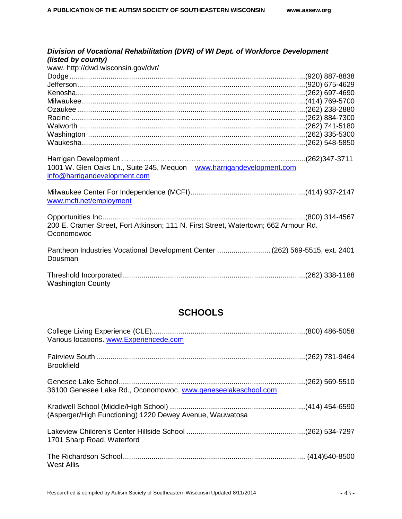| Division of Vocational Rehabilitation (DVR) of WI Dept. of Workforce Development<br>(listed by county)<br>www. http://dwd.wisconsin.gov/dvr/ |                  |
|----------------------------------------------------------------------------------------------------------------------------------------------|------------------|
|                                                                                                                                              |                  |
| 1001 W. Glen Oaks Ln., Suite 245, Mequon www.harrigandevelopment.com<br>info@harrigandevelopment.com                                         |                  |
| www.mcfi.net/employment                                                                                                                      |                  |
| 200 E. Cramer Street, Fort Atkinson; 111 N. First Street, Watertown; 662 Armour Rd.<br>Oconomowoc                                            | $(800)$ 314-4567 |
| Pantheon Industries Vocational Development Center  (262) 569-5515, ext. 2401<br>Dousman                                                      |                  |
| <b>Washington County</b>                                                                                                                     |                  |

### **SCHOOLS**

<span id="page-44-0"></span>

| Various locations. www.Experiencede.com                       |  |
|---------------------------------------------------------------|--|
| <b>Brookfield</b>                                             |  |
| 36100 Genesee Lake Rd., Oconomowoc, www.geneseelakeschool.com |  |
| (Asperger/High Functioning) 1220 Dewey Avenue, Wauwatosa      |  |
| 1701 Sharp Road, Waterford                                    |  |
| West Allis                                                    |  |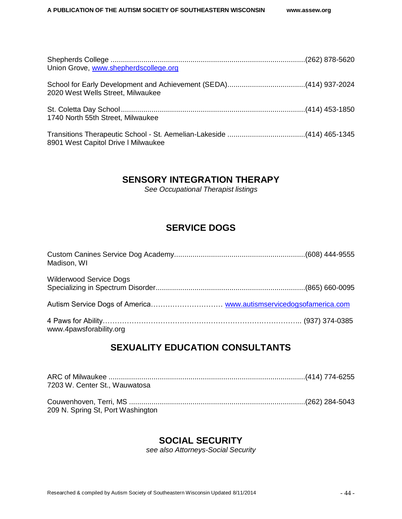| Union Grove, www.shepherdscollege.org |  |
|---------------------------------------|--|
| 2020 West Wells Street, Milwaukee     |  |
| 1740 North 55th Street, Milwaukee     |  |
| 8901 West Capitol Drive I Milwaukee   |  |

### <span id="page-45-0"></span>**SENSORY INTEGRATION THERAPY**

*See Occupational Therapist listings*

### **SERVICE DOGS**

<span id="page-45-1"></span>

| Madison, WI                    |  |
|--------------------------------|--|
| <b>Wilderwood Service Dogs</b> |  |
|                                |  |
| www.4pawsforability.org        |  |

### **SEXUALITY EDUCATION CONSULTANTS**

<span id="page-45-2"></span>

| 7203 W. Center St., Wauwatosa     |  |
|-----------------------------------|--|
|                                   |  |
|                                   |  |
| 209 N. Spring St, Port Washington |  |

### **SOCIAL SECURITY**

*see also Attorneys-Social Security*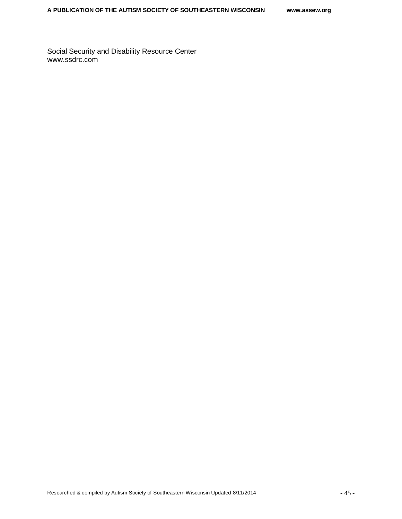<span id="page-46-0"></span>Social Security and Disability Resource Center www.ssdrc.com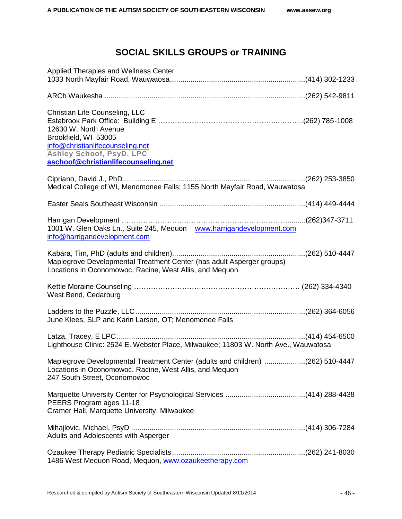### **SOCIAL SKILLS GROUPS or TRAINING**

| Applied Therapies and Wellness Center                                                                                                                                                  |  |
|----------------------------------------------------------------------------------------------------------------------------------------------------------------------------------------|--|
|                                                                                                                                                                                        |  |
| Christian Life Counseling, LLC<br>12630 W. North Avenue<br>Brookfield, WI 53005<br>info@christianlifecounseling.net<br>Ashley Schoof, PsyD. LPC<br>aschoof@christianlifecounseling.net |  |
| Medical College of WI, Menomonee Falls; 1155 North Mayfair Road, Wauwatosa                                                                                                             |  |
|                                                                                                                                                                                        |  |
| 1001 W. Glen Oaks Ln., Suite 245, Mequon www.harrigandevelopment.com<br>info@harrigandevelopment.com                                                                                   |  |
| Maplegrove Developmental Treatment Center (has adult Asperger groups)<br>Locations in Oconomowoc, Racine, West Allis, and Mequon                                                       |  |
| West Bend, Cedarburg                                                                                                                                                                   |  |
| June Klees, SLP and Karin Larson, OT; Menomonee Falls                                                                                                                                  |  |
| Lighthouse Clinic: 2524 E. Webster Place, Milwaukee; 11803 W. North Ave., Wauwatosa                                                                                                    |  |
| Maplegrove Developmental Treatment Center (adults and children) (262) 510-4447<br>Locations in Oconomowoc, Racine, West Allis, and Mequon<br>247 South Street, Oconomowoc              |  |
| PEERS Program ages 11-18<br>Cramer Hall, Marquette University, Milwaukee                                                                                                               |  |
| Adults and Adolescents with Asperger                                                                                                                                                   |  |
| 1486 West Mequon Road, Mequon, www.ozaukeetherapy.com                                                                                                                                  |  |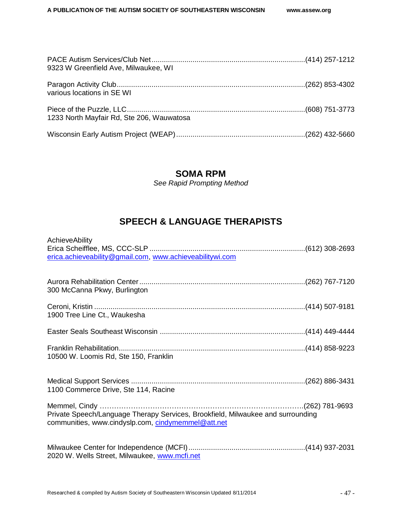| 9323 W Greenfield Ave, Milwaukee, WI      |  |
|-------------------------------------------|--|
| various locations in SE WI                |  |
| 1233 North Mayfair Rd, Ste 206, Wauwatosa |  |
|                                           |  |

### **SOMA RPM**

*See Rapid Prompting Method*

### **SPEECH & LANGUAGE THERAPISTS**

<span id="page-48-1"></span><span id="page-48-0"></span>

| AchieveAbility<br>erica.achieveability@gmail.com, www.achieveabilitywi.com                                                            |  |
|---------------------------------------------------------------------------------------------------------------------------------------|--|
| 300 McCanna Pkwy, Burlington                                                                                                          |  |
| 1900 Tree Line Ct., Waukesha                                                                                                          |  |
|                                                                                                                                       |  |
| 10500 W. Loomis Rd, Ste 150, Franklin                                                                                                 |  |
| 1100 Commerce Drive, Ste 114, Racine                                                                                                  |  |
| Private Speech/Language Therapy Services, Brookfield, Milwaukee and surrounding<br>communities, www.cindyslp.com, cindymemmel@att.net |  |
| 2020 W. Wells Street, Milwaukee, www.mcfi.net                                                                                         |  |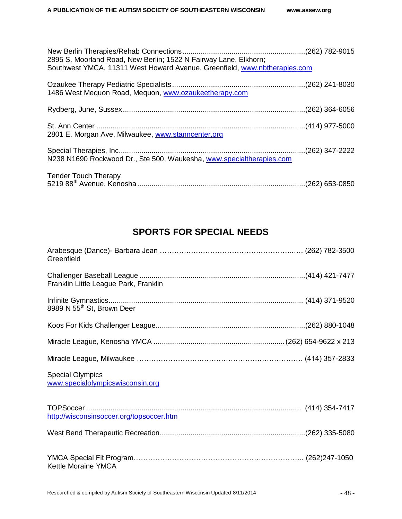| 2895 S. Moorland Road, New Berlin; 1522 N Fairway Lane, Elkhorn;<br>Southwest YMCA, 11311 West Howard Avenue, Greenfield, www.nbtherapies.com |  |
|-----------------------------------------------------------------------------------------------------------------------------------------------|--|
| 1486 West Mequon Road, Mequon, www.ozaukeetherapy.com                                                                                         |  |
|                                                                                                                                               |  |
| 2801 E. Morgan Ave, Milwaukee, www.stanncenter.org                                                                                            |  |
| N238 N1690 Rockwood Dr., Ste 500, Waukesha, www.specialtherapies.com                                                                          |  |
| <b>Tender Touch Therapy</b>                                                                                                                   |  |

### **SPORTS FOR SPECIAL NEEDS**

<span id="page-49-0"></span>

| Greenfield                                                  |  |
|-------------------------------------------------------------|--|
| Franklin Little League Park, Franklin                       |  |
| 8989 N 55 <sup>th</sup> St, Brown Deer                      |  |
|                                                             |  |
|                                                             |  |
|                                                             |  |
| <b>Special Olympics</b><br>www.specialolympicswisconsin.org |  |
| http://wisconsinsoccer.org/topsoccer.htm                    |  |
|                                                             |  |
| Kettle Moraine YMCA                                         |  |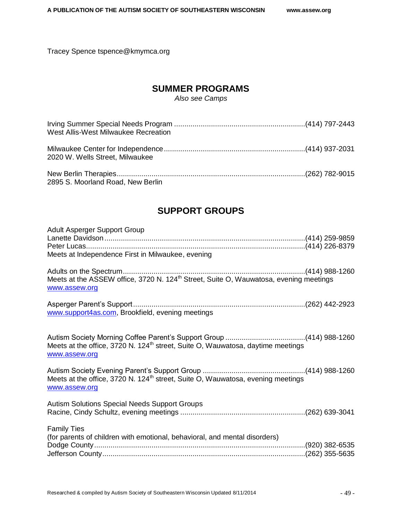<span id="page-50-0"></span>Tracey Spence tspence@kmymca.org

### **SUMMER PROGRAMS**

*Also see Camps*

| West Allis-West Milwaukee Recreation |  |
|--------------------------------------|--|
| 2020 W. Wells Street, Milwaukee      |  |
| 2895 S. Moorland Road, New Berlin    |  |

### **SUPPORT GROUPS**

<span id="page-50-1"></span>

| Adult Asperger Support Group<br>Meets at Independence First in Milwaukee, evening                                  |  |
|--------------------------------------------------------------------------------------------------------------------|--|
| Meets at the ASSEW office, 3720 N. 124 <sup>th</sup> Street, Suite O, Wauwatosa, evening meetings<br>www.assew.org |  |
| www.support4as.com, Brookfield, evening meetings                                                                   |  |
| Meets at the office, 3720 N. 124 <sup>th</sup> street, Suite O, Wauwatosa, daytime meetings<br>www.assew.org       |  |
| Meets at the office, 3720 N. 124 <sup>th</sup> street, Suite O, Wauwatosa, evening meetings<br>www.assew.org       |  |
| <b>Autism Solutions Special Needs Support Groups</b>                                                               |  |
| <b>Family Ties</b><br>(for parents of children with emotional, behavioral, and mental disorders)                   |  |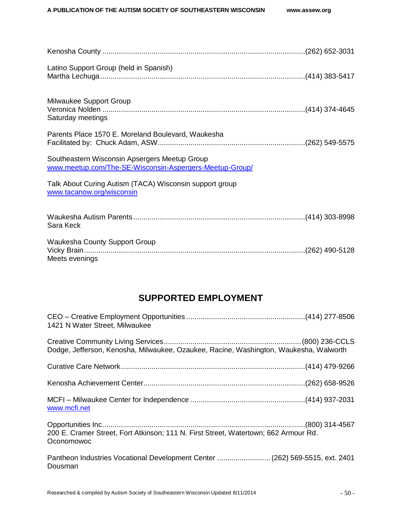| Latino Support Group (held in Spanish)                                                                   |  |
|----------------------------------------------------------------------------------------------------------|--|
| Milwaukee Support Group<br>Saturday meetings                                                             |  |
| Parents Place 1570 E. Moreland Boulevard, Waukesha                                                       |  |
| Southeastern Wisconsin Apsergers Meetup Group<br>www.meetup.com/The-SE-Wisconsin-Aspergers-Meetup-Group/ |  |
| Talk About Curing Autism (TACA) Wisconsin support group<br>www.tacanow.org/wisconsin                     |  |
| Sara Keck                                                                                                |  |
| <b>Waukesha County Support Group</b><br>Meets evenings                                                   |  |

### **SUPPORTED EMPLOYMENT**

<span id="page-51-0"></span>

| 1421 N Water Street, Milwaukee                                                                    |  |
|---------------------------------------------------------------------------------------------------|--|
| Dodge, Jefferson, Kenosha, Milwaukee, Ozaukee, Racine, Washington, Waukesha, Walworth             |  |
|                                                                                                   |  |
|                                                                                                   |  |
| www.mcfi.net                                                                                      |  |
| 200 E. Cramer Street, Fort Atkinson; 111 N. First Street, Watertown; 662 Armour Rd.<br>Oconomowoc |  |
| Pantheon Industries Vocational Development Center  (262) 569-5515, ext. 2401<br>Dousman           |  |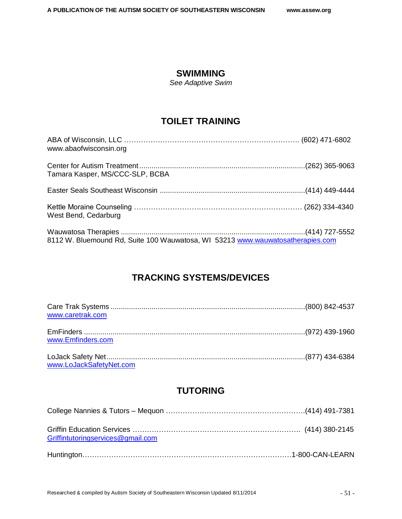### **SWIMMING**

*See Adaptive Swim*

### **TOILET TRAINING**

<span id="page-52-0"></span>

| www.abaofwisconsin.org                                                         |  |
|--------------------------------------------------------------------------------|--|
| Tamara Kasper, MS/CCC-SLP, BCBA                                                |  |
|                                                                                |  |
| West Bend, Cedarburg                                                           |  |
| 8112 W. Bluemound Rd, Suite 100 Wauwatosa, WI 53213 www.wauwatosatherapies.com |  |

### **TRACKING SYSTEMS/DEVICES**

<span id="page-52-1"></span>

| www.caretrak.com        |  |
|-------------------------|--|
| www.Emfinders.com       |  |
| www.LoJackSafetyNet.com |  |

### **TUTORING**

| Griffintutoringservices@gmail.com |  |
|-----------------------------------|--|
|                                   |  |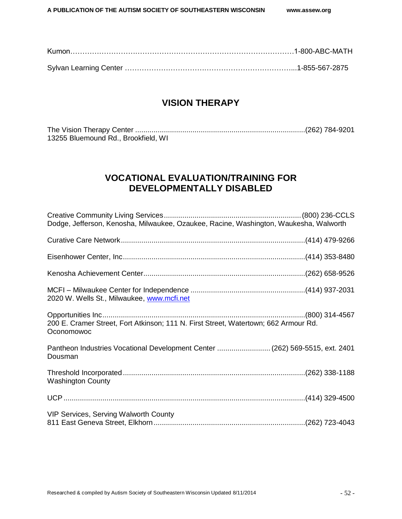### **VISION THERAPY**

<span id="page-53-1"></span><span id="page-53-0"></span>

| 13255 Bluemound Rd., Brookfield, WI |  |
|-------------------------------------|--|

### **VOCATIONAL EVALUATION/TRAINING FOR DEVELOPMENTALLY DISABLED**

<span id="page-53-2"></span>

| Dodge, Jefferson, Kenosha, Milwaukee, Ozaukee, Racine, Washington, Waukesha, Walworth             |  |
|---------------------------------------------------------------------------------------------------|--|
|                                                                                                   |  |
|                                                                                                   |  |
|                                                                                                   |  |
| 2020 W. Wells St., Milwaukee, www.mcfi.net                                                        |  |
| 200 E. Cramer Street, Fort Atkinson; 111 N. First Street, Watertown; 662 Armour Rd.<br>Oconomowoc |  |
| Pantheon Industries Vocational Development Center  (262) 569-5515, ext. 2401<br>Dousman           |  |
| <b>Washington County</b>                                                                          |  |
|                                                                                                   |  |
| VIP Services, Serving Walworth County                                                             |  |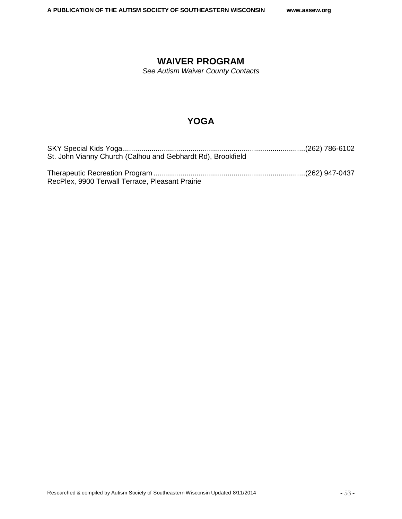### **WAIVER PROGRAM**

*See Autism Waiver County Contacts*

### **YOGA**

<span id="page-54-0"></span>

| St. John Vianny Church (Calhou and Gebhardt Rd), Brookfield |  |
|-------------------------------------------------------------|--|
| RecPlex, 9900 Terwall Terrace, Pleasant Prairie             |  |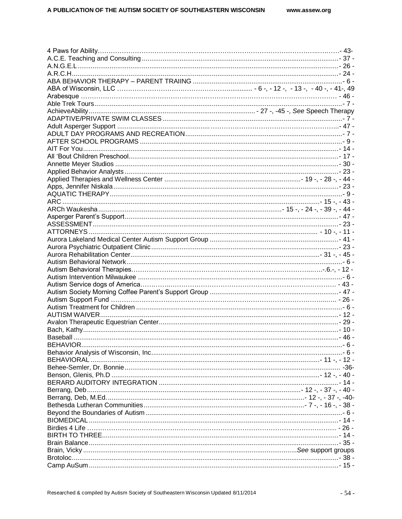| - 24 - مستند بين المستند بين المستند بين المستند بين المستند بين المستند المستند بين المستند المستند المستند المستند |  |
|----------------------------------------------------------------------------------------------------------------------|--|
|                                                                                                                      |  |
|                                                                                                                      |  |
|                                                                                                                      |  |
|                                                                                                                      |  |
|                                                                                                                      |  |
|                                                                                                                      |  |
|                                                                                                                      |  |
|                                                                                                                      |  |
|                                                                                                                      |  |
|                                                                                                                      |  |
|                                                                                                                      |  |
|                                                                                                                      |  |
|                                                                                                                      |  |
|                                                                                                                      |  |
|                                                                                                                      |  |
|                                                                                                                      |  |
|                                                                                                                      |  |
|                                                                                                                      |  |
|                                                                                                                      |  |
|                                                                                                                      |  |
|                                                                                                                      |  |
|                                                                                                                      |  |
|                                                                                                                      |  |
|                                                                                                                      |  |
|                                                                                                                      |  |
|                                                                                                                      |  |
|                                                                                                                      |  |
|                                                                                                                      |  |
|                                                                                                                      |  |
|                                                                                                                      |  |
|                                                                                                                      |  |
|                                                                                                                      |  |
|                                                                                                                      |  |
|                                                                                                                      |  |
|                                                                                                                      |  |
|                                                                                                                      |  |
|                                                                                                                      |  |
|                                                                                                                      |  |
|                                                                                                                      |  |
|                                                                                                                      |  |
|                                                                                                                      |  |
|                                                                                                                      |  |
|                                                                                                                      |  |
|                                                                                                                      |  |
|                                                                                                                      |  |
|                                                                                                                      |  |
|                                                                                                                      |  |
|                                                                                                                      |  |
|                                                                                                                      |  |
|                                                                                                                      |  |
|                                                                                                                      |  |
|                                                                                                                      |  |
|                                                                                                                      |  |
|                                                                                                                      |  |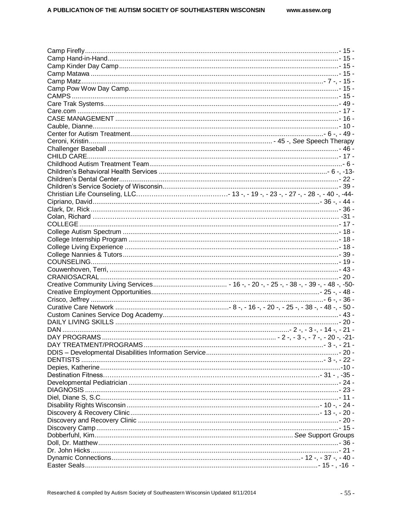| DAY PROGRAMS. |  |
|---------------|--|
|               |  |
|               |  |
|               |  |
|               |  |
|               |  |
|               |  |
|               |  |
|               |  |
|               |  |
|               |  |
|               |  |
|               |  |
|               |  |
|               |  |
|               |  |
|               |  |
|               |  |
|               |  |
|               |  |
|               |  |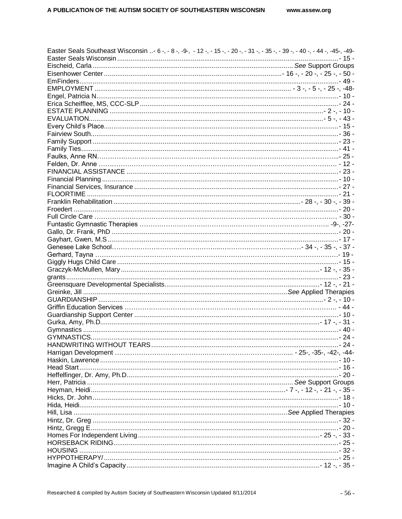| Easter Seals Southeast Wisconsin - 6 -, - 8 -, -9-, - 12 -, - 15 -, - 20 -, - 31 -, - 35 -, - 39 -, - 40 -, - 44 -, -45-, -49- |  |
|--------------------------------------------------------------------------------------------------------------------------------|--|
|                                                                                                                                |  |
|                                                                                                                                |  |
|                                                                                                                                |  |
|                                                                                                                                |  |
|                                                                                                                                |  |
|                                                                                                                                |  |
|                                                                                                                                |  |
|                                                                                                                                |  |
|                                                                                                                                |  |
|                                                                                                                                |  |
|                                                                                                                                |  |
|                                                                                                                                |  |
|                                                                                                                                |  |
|                                                                                                                                |  |
|                                                                                                                                |  |
|                                                                                                                                |  |
|                                                                                                                                |  |
|                                                                                                                                |  |
|                                                                                                                                |  |
|                                                                                                                                |  |
|                                                                                                                                |  |
|                                                                                                                                |  |
|                                                                                                                                |  |
|                                                                                                                                |  |
|                                                                                                                                |  |
|                                                                                                                                |  |
|                                                                                                                                |  |
|                                                                                                                                |  |
|                                                                                                                                |  |
|                                                                                                                                |  |
|                                                                                                                                |  |
|                                                                                                                                |  |
|                                                                                                                                |  |
|                                                                                                                                |  |
|                                                                                                                                |  |
|                                                                                                                                |  |
|                                                                                                                                |  |
|                                                                                                                                |  |
|                                                                                                                                |  |
|                                                                                                                                |  |
|                                                                                                                                |  |
|                                                                                                                                |  |
|                                                                                                                                |  |
|                                                                                                                                |  |
|                                                                                                                                |  |
|                                                                                                                                |  |
|                                                                                                                                |  |
|                                                                                                                                |  |
|                                                                                                                                |  |
|                                                                                                                                |  |
|                                                                                                                                |  |
|                                                                                                                                |  |
|                                                                                                                                |  |
|                                                                                                                                |  |
|                                                                                                                                |  |
|                                                                                                                                |  |
|                                                                                                                                |  |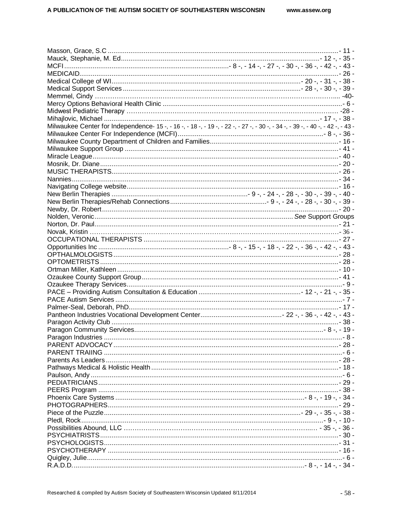| www.assew.org |  |
|---------------|--|
|---------------|--|

| Milwaukee Center for Independence-15 -, -16 -, -18 -, -19 -, -22 -, -27 -, -30 -, -34 -, -39 -, -40 -, -42 -, -43 - |  |  |
|---------------------------------------------------------------------------------------------------------------------|--|--|
|                                                                                                                     |  |  |
|                                                                                                                     |  |  |
|                                                                                                                     |  |  |
|                                                                                                                     |  |  |
|                                                                                                                     |  |  |
|                                                                                                                     |  |  |
|                                                                                                                     |  |  |
|                                                                                                                     |  |  |
|                                                                                                                     |  |  |
|                                                                                                                     |  |  |
|                                                                                                                     |  |  |
|                                                                                                                     |  |  |
|                                                                                                                     |  |  |
|                                                                                                                     |  |  |
|                                                                                                                     |  |  |
|                                                                                                                     |  |  |
|                                                                                                                     |  |  |
|                                                                                                                     |  |  |
|                                                                                                                     |  |  |
|                                                                                                                     |  |  |
|                                                                                                                     |  |  |
|                                                                                                                     |  |  |
|                                                                                                                     |  |  |
|                                                                                                                     |  |  |
|                                                                                                                     |  |  |
|                                                                                                                     |  |  |
|                                                                                                                     |  |  |
|                                                                                                                     |  |  |
|                                                                                                                     |  |  |
|                                                                                                                     |  |  |
|                                                                                                                     |  |  |
|                                                                                                                     |  |  |
|                                                                                                                     |  |  |
|                                                                                                                     |  |  |
|                                                                                                                     |  |  |
|                                                                                                                     |  |  |
|                                                                                                                     |  |  |
|                                                                                                                     |  |  |
|                                                                                                                     |  |  |
|                                                                                                                     |  |  |
|                                                                                                                     |  |  |
|                                                                                                                     |  |  |
| - 36 - , - 35 -, - 36 - , - 36 - , - 36 - , - 36 - , - 36 - , - 39 - , - 39 - , - 39 - , - 39 - , - 39 - , - 3      |  |  |
|                                                                                                                     |  |  |
|                                                                                                                     |  |  |
|                                                                                                                     |  |  |
|                                                                                                                     |  |  |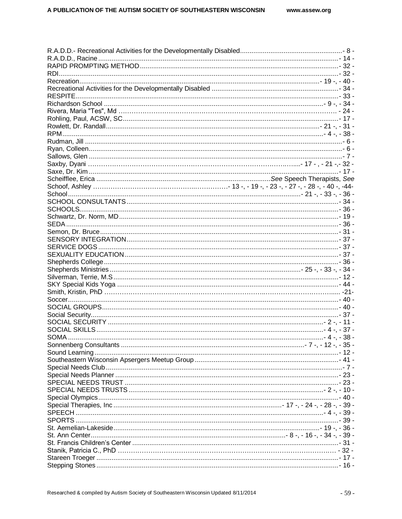| - 36 - , - 19 -, - 36 - , - 36 - , - 36 - , - 36 - , - 36 - , - 36 - , - 36 - , - 36 - , - 36 - , - 36 - , - 36 |  |
|-----------------------------------------------------------------------------------------------------------------|--|
|                                                                                                                 |  |
|                                                                                                                 |  |
|                                                                                                                 |  |
|                                                                                                                 |  |
|                                                                                                                 |  |
|                                                                                                                 |  |